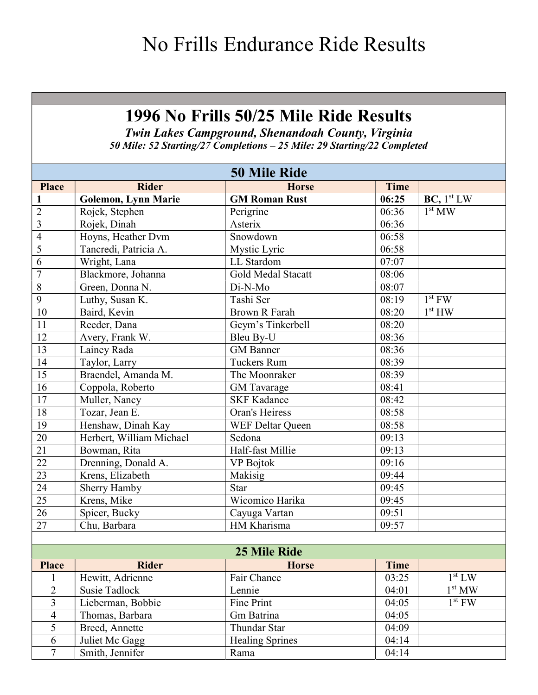# No Frills Endurance Ride Results

### 1996 No Frills 50/25 Mile Ride Results

Twin Lakes Campground, Shenandoah County, Virginia 50 Mile: 52 Starting/27 Completions – 25 Mile: 29 Starting/22 Completed

|                 | <b>50 Mile Ride</b>        |                        |             |                        |  |
|-----------------|----------------------------|------------------------|-------------|------------------------|--|
| <b>Place</b>    | <b>Rider</b>               | <b>Horse</b>           | <b>Time</b> |                        |  |
|                 | <b>Golemon, Lynn Marie</b> | <b>GM Roman Rust</b>   | 06:25       | BC, 1 <sup>st</sup> LW |  |
| $\overline{2}$  | Rojek, Stephen             | Perigrine              | 06:36       | 1 <sup>st</sup> MW     |  |
| $\overline{3}$  | Rojek, Dinah               | Asterix                | 06:36       |                        |  |
| $\overline{4}$  | Hoyns, Heather Dvm         | Snowdown               | 06:58       |                        |  |
| $\overline{5}$  | Tancredi, Patricia A.      | Mystic Lyric           | 06:58       |                        |  |
| $\overline{6}$  | Wright, Lana               | LL Stardom             | 07:07       |                        |  |
| $\overline{7}$  | Blackmore, Johanna         | Gold Medal Stacatt     | 08:06       |                        |  |
| $\,8\,$         | Green, Donna N.            | Di-N-Mo                | 08:07       |                        |  |
| $\overline{9}$  | Luthy, Susan K.            | Tashi Ser              | 08:19       | $1st$ FW               |  |
| 10              | Baird, Kevin               | <b>Brown R Farah</b>   | 08:20       | 1 <sup>st</sup> HW     |  |
| 11              | Reeder, Dana               | Geym's Tinkerbell      | 08:20       |                        |  |
| 12              | Avery, Frank W.            | Bleu By-U              | 08:36       |                        |  |
| 13              | Lainey Rada                | <b>GM</b> Banner       | 08:36       |                        |  |
| 14              | Taylor, Larry              | <b>Tuckers Rum</b>     | 08:39       |                        |  |
| 15              | Braendel, Amanda M.        | The Moonraker          | 08:39       |                        |  |
| 16              | Coppola, Roberto           | <b>GM</b> Tavarage     | 08:41       |                        |  |
| 17              | Muller, Nancy              | <b>SKF Kadance</b>     | 08:42       |                        |  |
| $18\,$          | Tozar, Jean E.             | Oran's Heiress         | 08:58       |                        |  |
| 19              | Henshaw, Dinah Kay         | WEF Deltar Queen       | 08:58       |                        |  |
| $\overline{20}$ | Herbert, William Michael   | Sedona                 | 09:13       |                        |  |
| 21              | Bowman, Rita               | Half-fast Millie       | 09:13       |                        |  |
| 22              | Drenning, Donald A.        | <b>VP</b> Bojtok       | 09:16       |                        |  |
| 23              | Krens, Elizabeth           | Makisig                | 09:44       |                        |  |
| $\overline{24}$ | Sherry Hamby               | <b>Star</b>            | 09:45       |                        |  |
| 25              | Krens, Mike                | Wicomico Harika        | 09:45       |                        |  |
| $\overline{26}$ | Spicer, Bucky              | Cayuga Vartan          | 09:51       |                        |  |
| $27\,$          | Chu, Barbara               | HM Kharisma            | 09:57       |                        |  |
|                 |                            |                        |             |                        |  |
|                 |                            | 25 Mile Ride           |             |                        |  |
| <b>Place</b>    | <b>Rider</b>               | <b>Horse</b>           | Time        |                        |  |
|                 | Hewitt, Adrienne           | Fair Chance            | 03:25       | 1 <sup>st</sup> LW     |  |
| $\overline{2}$  | <b>Susie Tadlock</b>       | Lennie                 | 04:01       | 1 <sup>st</sup> MW     |  |
| 3               | Lieberman, Bobbie          | Fine Print             | 04:05       | $1st$ FW               |  |
| 4               | Thomas, Barbara            | Gm Batrina             | 04:05       |                        |  |
| 5               | Breed, Annette             | Thundar Star           | 04:09       |                        |  |
| 6               | Juliet Mc Gagg             | <b>Healing Sprines</b> | 04:14       |                        |  |
| $\overline{7}$  | Smith, Jennifer            | Rama                   | 04:14       |                        |  |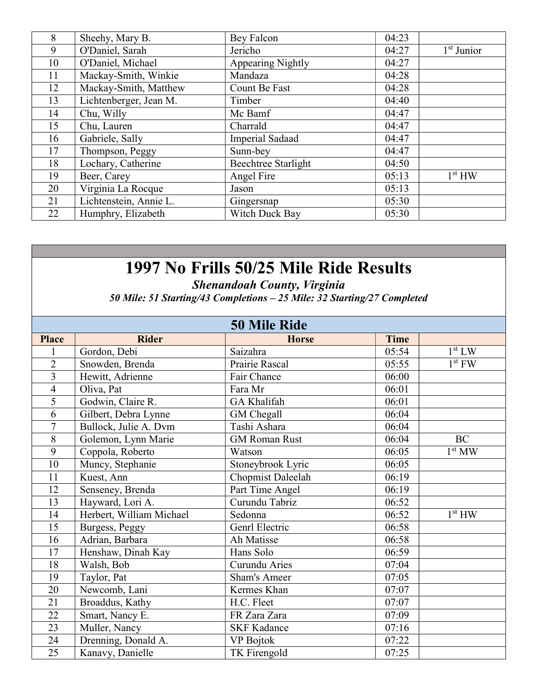| 8  | Sheehy, Mary B.        | Bey Falcon          | 04:23 |                    |
|----|------------------------|---------------------|-------|--------------------|
| 9  | O'Daniel, Sarah        | Jericho             | 04:27 | $1st$ Junior       |
| 10 | O'Daniel, Michael      | Appearing Nightly   | 04:27 |                    |
| 11 | Mackay-Smith, Winkie   | Mandaza             | 04:28 |                    |
| 12 | Mackay-Smith, Matthew  | Count Be Fast       | 04:28 |                    |
| 13 | Lichtenberger, Jean M. | Timber              | 04:40 |                    |
| 14 | Chu, Willy             | Mc Bamf             | 04:47 |                    |
| 15 | Chu, Lauren            | Charrald            | 04:47 |                    |
| 16 | Gabriele, Sally        | Imperial Sadaad     | 04:47 |                    |
| 17 | Thompson, Peggy        | Sunn-bey            | 04:47 |                    |
| 18 | Lochary, Catherine     | Beechtree Starlight | 04:50 |                    |
| 19 | Beer, Carey            | Angel Fire          | 05:13 | 1 <sup>st</sup> HW |
| 20 | Virginia La Rocque     | Jason               | 05:13 |                    |
| 21 | Lichtenstein, Annie L. | Gingersnap          | 05:30 |                    |
| 22 | Humphry, Elizabeth     | Witch Duck Bay      | 05:30 |                    |

Shenandoah County, Virginia

50 Mile: 51 Starting/43 Completions – 25 Mile: 32 Starting/27 Completed

|                | <b>50 Mile Ride</b>      |                          |             |                    |  |
|----------------|--------------------------|--------------------------|-------------|--------------------|--|
| <b>Place</b>   | <b>Rider</b>             | <b>Horse</b>             | <b>Time</b> |                    |  |
|                | Gordon, Debi             | Saizahra                 | 05:54       | 1 <sup>st</sup> LW |  |
| $\overline{2}$ | Snowden, Brenda          | Prairie Rascal           | 05:55       | $1st$ FW           |  |
| 3              | Hewitt, Adrienne         | Fair Chance              | 06:00       |                    |  |
| $\overline{4}$ | Oliva, Pat               | Fara Mr                  | 06:01       |                    |  |
| $\overline{5}$ | Godwin, Claire R.        | GA Khalifah              | 06:01       |                    |  |
| 6              | Gilbert, Debra Lynne     | GM Chegall               | 06:04       |                    |  |
| $\overline{7}$ | Bullock, Julie A. Dvm    | Tashi Ashara             | 06:04       |                    |  |
| 8              | Golemon, Lynn Marie      | <b>GM Roman Rust</b>     | 06:04       | <b>BC</b>          |  |
| 9              | Coppola, Roberto         | Watson                   | 06:05       | 1 <sup>st</sup> MW |  |
| 10             | Muncy, Stephanie         | Stoneybrook Lyric        | 06:05       |                    |  |
| 11             | Kuest, Ann               | <b>Chopmist Daleelah</b> | 06:19       |                    |  |
| 12             | Senseney, Brenda         | Part Time Angel          | 06:19       |                    |  |
| 13             | Hayward, Lori A.         | Curundu Tabriz           | 06:52       |                    |  |
| 14             | Herbert, William Michael | Sedonna                  | 06:52       | 1 <sup>st</sup> HW |  |
| 15             | Burgess, Peggy           | Genrl Electric           | 06:58       |                    |  |
| 16             | Adrian, Barbara          | Ah Matisse               | 06:58       |                    |  |
| 17             | Henshaw, Dinah Kay       | Hans Solo                | 06:59       |                    |  |
| 18             | Walsh, Bob               | Curundu Aries            | 07:04       |                    |  |
| 19             | Taylor, Pat              | <b>Sham's Ameer</b>      | 07:05       |                    |  |
| 20             | Newcomb, Lani            | Kermes Khan              | 07:07       |                    |  |
| 21             | Broaddus, Kathy          | H.C. Fleet               | 07:07       |                    |  |
| 22             | Smart, Nancy E.          | FR Zara Zara             | 07:09       |                    |  |
| 23             | Muller, Nancy            | <b>SKF Kadance</b>       | 07:16       |                    |  |
| 24             | Drenning, Donald A.      | VP Bojtok                | 07:22       |                    |  |
| 25             | Kanavy, Danielle         | TK Firengold             | 07:25       |                    |  |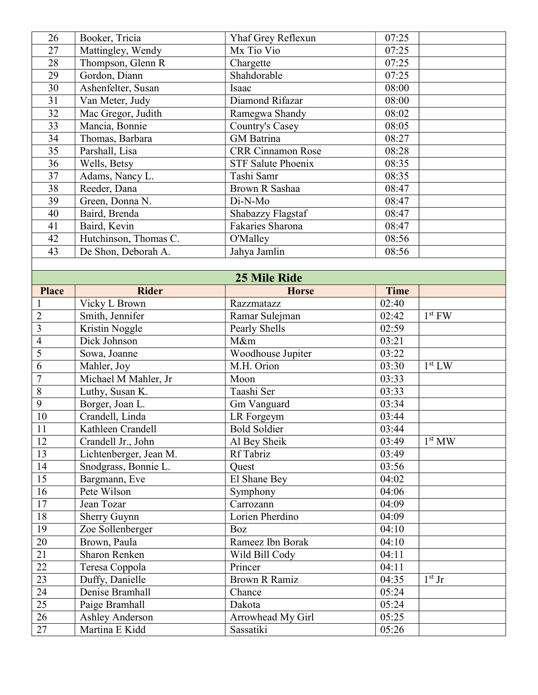| 26           | Booker, Tricia        | Yhaf Grey Reflexun        | 07:25       |  |
|--------------|-----------------------|---------------------------|-------------|--|
| 27           | Mattingley, Wendy     | Mx Tio Vio                | 07:25       |  |
| 28           | Thompson, Glenn R     | Chargette                 | 07:25       |  |
| 29           | Gordon, Diann         | Shahdorable               | 07:25       |  |
| 30           | Ashenfelter, Susan    | Isaac                     | 08:00       |  |
| 31           | Van Meter, Judy       | Diamond Rifazar           | 08:00       |  |
| 32           | Mac Gregor, Judith    | Ramegwa Shandy            | 08:02       |  |
| 33           | Mancia, Bonnie        | Country's Casey           | 08:05       |  |
| 34           | Thomas, Barbara       | <b>GM</b> Batrina         | 08:27       |  |
| 35           | Parshall, Lisa        | <b>CRR Cinnamon Rose</b>  | 08:28       |  |
| 36           | Wells, Betsy          | <b>STF Salute Phoenix</b> | 08:35       |  |
| 37           | Adams, Nancy L.       | Tashi Samr                | 08:35       |  |
| 38           | Reeder, Dana          | Brown R Sashaa            | 08:47       |  |
| 39           | Green, Donna N.       | Di-N-Mo                   | 08:47       |  |
| 40           | Baird, Brenda         | Shabazzy Flagstaf         | 08:47       |  |
| 41           | Baird, Kevin          | Fakaries Sharona          | 08:47       |  |
| 42           | Hutchinson, Thomas C. | O'Malley                  | 08:56       |  |
| 43           | De Shon, Deborah A.   | Jahya Jamlin              | 08:56       |  |
|              |                       |                           |             |  |
|              |                       | <b>25 Mile Ride</b>       |             |  |
| <b>Place</b> | <b>Rider</b>          | <b>Horse</b>              | <b>Time</b> |  |
|              | Vicky L Brown         | Razzmatazz                | 02:40       |  |

| <b>Place</b>    | Rider                  | <b>Horse</b>         | Time  |                    |
|-----------------|------------------------|----------------------|-------|--------------------|
|                 | Vicky L Brown          | Razzmatazz           | 02:40 |                    |
| $\overline{2}$  | Smith, Jennifer        | Ramar Sulejman       | 02:42 | $1st$ FW           |
| $\overline{3}$  | Kristin Noggle         | Pearly Shells        | 02:59 |                    |
| $\overline{4}$  | Dick Johnson           | M&m                  | 03:21 |                    |
| $\overline{5}$  | Sowa, Joanne           | Woodhouse Jupiter    | 03:22 |                    |
| $\overline{6}$  | Mahler, Joy            | M.H. Orion           | 03:30 | 1 <sup>st</sup> LW |
| $\overline{7}$  | Michael M Mahler, Jr   | Moon                 | 03:33 |                    |
| $\overline{8}$  | Luthy, Susan K.        | Taashi Ser           | 03:33 |                    |
| $\overline{9}$  | Borger, Joan L.        | Gm Vanguard          | 03:34 |                    |
| 10              | Crandell, Linda        | LR Forgeym           | 03:44 |                    |
| 11              | Kathleen Crandell      | <b>Bold Soldier</b>  | 03:44 |                    |
| 12              | Crandell Jr., John     | Al Bey Sheik         | 03:49 | 1 <sup>st</sup> MW |
| 13              | Lichtenberger, Jean M. | Rf Tabriz            | 03:49 |                    |
| 14              | Snodgrass, Bonnie L.   | Quest                | 03:56 |                    |
| 15              | Bargmann, Eve          | El Shane Bey         | 04:02 |                    |
| 16              | Pete Wilson            | Symphony             | 04:06 |                    |
| 17              | Jean Tozar             | Carrozann            | 04:09 |                    |
| 18              | Sherry Guynn           | Lorien Pherdino      | 04:09 |                    |
| 19              | Zoe Sollenberger       | Boz                  | 04:10 |                    |
| 20              | Brown, Paula           | Rameez Ibn Borak     | 04:10 |                    |
| 21              | <b>Sharon Renken</b>   | Wild Bill Cody       | 04:11 |                    |
| $\overline{22}$ | Teresa Coppola         | Princer              | 04:11 |                    |
| $\overline{23}$ | Duffy, Danielle        | <b>Brown R Ramiz</b> | 04:35 | $1st$ Jr           |
| 24              | Denise Bramhall        | Chance               | 05:24 |                    |
| $\overline{25}$ | Paige Bramhall         | Dakota               | 05:24 |                    |
| 26              | <b>Ashley Anderson</b> | Arrowhead My Girl    | 05:25 |                    |
| $\overline{27}$ | Martina E Kidd         | Sassatiki            | 05:26 |                    |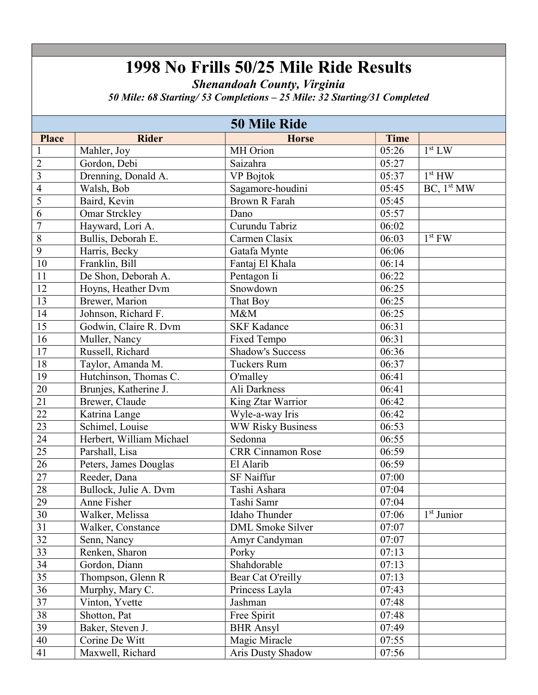Shenandoah County, Virginia

50 Mile: 68 Starting/ 53 Completions – 25 Mile: 32 Starting/31 Completed

| <b>50 Mile Ride</b> |                          |                          |             |                        |
|---------------------|--------------------------|--------------------------|-------------|------------------------|
| <b>Place</b>        | <b>Rider</b>             | <b>Horse</b>             | <b>Time</b> |                        |
| $\mathbf{1}$        | Mahler, Joy              | MH Orion                 | 05:26       | 1 <sup>st</sup> LW     |
| $\overline{2}$      | Gordon, Debi             | Saizahra                 | 05:27       |                        |
| $\overline{3}$      | Drenning, Donald A.      | VP Bojtok                | 05:37       | 1 <sup>st</sup> HW     |
| 4                   | Walsh, Bob               | Sagamore-houdini         | 05:45       | BC, 1 <sup>st</sup> MW |
| $\overline{5}$      | Baird, Kevin             | <b>Brown R Farah</b>     | 05:45       |                        |
| 6                   | Omar Strckley            | Dano                     | 05:57       |                        |
| $\overline{7}$      | Hayward, Lori A.         | Curundu Tabriz           | 06:02       |                        |
| 8                   | Bullis, Deborah E.       | Carmen Clasix            | 06:03       | $1st$ FW               |
| $\overline{9}$      | Harris, Becky            | Gatafa Mynte             | 06:06       |                        |
| 10                  | Franklin, Bill           | Fantaj El Khala          | 06:14       |                        |
| 11                  | De Shon, Deborah A.      | Pentagon Ii              | 06:22       |                        |
| 12                  | Hoyns, Heather Dvm       | Snowdown                 | 06:25       |                        |
| $\overline{13}$     | Brewer, Marion           | That Boy                 | 06:25       |                        |
| $\overline{14}$     | Johnson, Richard F.      | M&M                      | 06:25       |                        |
| 15                  | Godwin, Claire R. Dvm    | <b>SKF Kadance</b>       | 06:31       |                        |
| 16                  | Muller, Nancy            | Fixed Tempo              | 06:31       |                        |
| 17                  | Russell, Richard         | <b>Shadow's Success</b>  | 06:36       |                        |
| $18\,$              | Taylor, Amanda M.        | <b>Tuckers Rum</b>       | 06:37       |                        |
| $\overline{19}$     | Hutchinson, Thomas C.    | O'malley                 | 06:41       |                        |
| $\overline{20}$     | Brunjes, Katherine J.    | Ali Darkness             | 06:41       |                        |
| 21                  | Brewer, Claude           | King Ztar Warrior        | 06:42       |                        |
| $\overline{22}$     | Katrina Lange            | Wyle-a-way Iris          | 06:42       |                        |
| 23                  | Schimel, Louise          | <b>WW Risky Business</b> | 06:53       |                        |
| 24                  | Herbert, William Michael | Sedonna                  | 06:55       |                        |
| $\overline{25}$     | Parshall, Lisa           | <b>CRR</b> Cinnamon Rose | 06:59       |                        |
| $\overline{26}$     | Peters, James Douglas    | El Alarib                | 06:59       |                        |
| $\overline{27}$     | Reeder, Dana             | <b>SF Naiffur</b>        | 07:00       |                        |
| 28                  | Bullock, Julie A. Dvm    | Tashi Ashara             | 07:04       |                        |
| 29                  | Anne Fisher              | Tashi Samr               | 07:04       |                        |
| 30                  | Walker, Melissa          | Idaho Thunder            | 07:06       | $1st$ Junior           |
| 31                  | Walker, Constance        | <b>DML</b> Smoke Silver  | 07:07       |                        |
| 32                  | Senn, Nancy              | Amyr Candyman            | 07:07       |                        |
| $\overline{33}$     | Renken, Sharon           | Porky                    | 07:13       |                        |
| 34                  | Gordon, Diann            | Shahdorable              | 07:13       |                        |
| $\overline{35}$     | Thompson, Glenn R        | Bear Cat O'reilly        | 07:13       |                        |
| 36                  | Murphy, Mary C.          | Princess Layla           | 07:43       |                        |
| 37                  | Vinton, Yvette           | Jashman                  | 07:48       |                        |
| 38                  | Shotton, Pat             | Free Spirit              | 07:48       |                        |
| 39                  | Baker, Steven J.         | <b>BHR</b> Ansyl         | 07:49       |                        |
| 40                  | Corine De Witt           | Magic Miracle            | 07:55       |                        |
| 41                  | Maxwell, Richard         | Aris Dusty Shadow        | 07:56       |                        |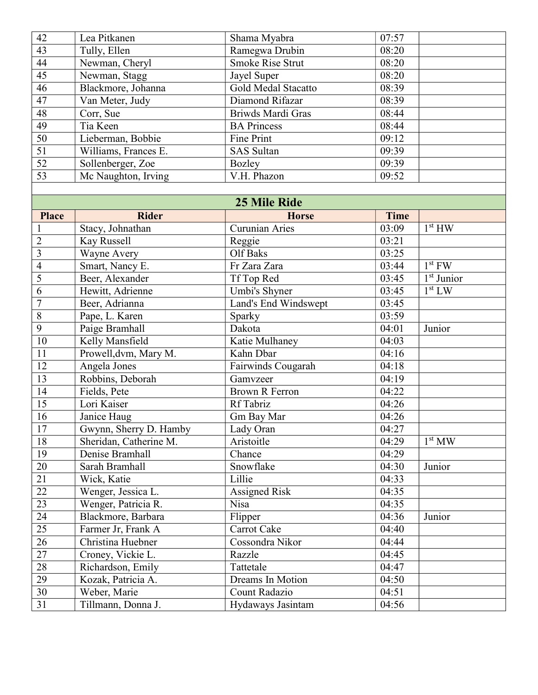| 42                       | Lea Pitkanen           | Shama Myabra            | 07:57       |                    |
|--------------------------|------------------------|-------------------------|-------------|--------------------|
| $\overline{43}$          | Tully, Ellen           | Ramegwa Drubin          | 08:20       |                    |
| 44                       | Newman, Cheryl         | <b>Smoke Rise Strut</b> | 08:20       |                    |
| 45                       | Newman, Stagg          | Jayel Super             | 08:20       |                    |
| 46                       | Blackmore, Johanna     | Gold Medal Stacatto     | 08:39       |                    |
| 47                       | Van Meter, Judy        | Diamond Rifazar         | 08:39       |                    |
| 48                       | Corr, Sue              | Briwds Mardi Gras       | 08:44       |                    |
| 49                       | Tia Keen               | <b>BA Princess</b>      | 08:44       |                    |
| $\overline{50}$          | Lieberman, Bobbie      | <b>Fine Print</b>       | 09:12       |                    |
| $\overline{51}$          | Williams, Frances E.   | <b>SAS</b> Sultan       | 09:39       |                    |
| $\overline{52}$          | Sollenberger, Zoe      | <b>Bozley</b>           | 09:39       |                    |
| $\overline{53}$          | Mc Naughton, Irving    | V.H. Phazon             | 09:52       |                    |
|                          |                        |                         |             |                    |
|                          |                        | <b>25 Mile Ride</b>     |             |                    |
| <b>Place</b>             | <b>Rider</b>           | <b>Horse</b>            | <b>Time</b> |                    |
|                          | Stacy, Johnathan       | <b>Curunian Aries</b>   | 03:09       | 1 <sup>st</sup> HW |
| $\overline{2}$           | Kay Russell            | Reggie                  | 03:21       |                    |
| $\overline{3}$           | Wayne Avery            | Olf Baks                | 03:25       |                    |
| $\overline{\mathcal{L}}$ | Smart, Nancy E.        | Fr Zara Zara            | 03:44       | $1st$ FW           |
| 5                        | Beer, Alexander        | Tf Top Red              | 03:45       | $1st$ Junior       |
| 6                        | Hewitt, Adrienne       | Umbi's Shyner           | 03:45       | 1 <sup>st</sup> LW |
| $\overline{7}$           | Beer, Adrianna         | Land's End Windswept    | 03:45       |                    |
| $\overline{8}$           | Pape, L. Karen         | Sparky                  | 03:59       |                    |
| $\overline{9}$           | Paige Bramhall         | Dakota                  | 04:01       | Junior             |
| 10                       | Kelly Mansfield        | Katie Mulhaney          | 04:03       |                    |
| 11                       | Prowell, dvm, Mary M.  | Kahn Dbar               | 04:16       |                    |
| $\overline{12}$          | Angela Jones           | Fairwinds Cougarah      | 04:18       |                    |
| 13                       | Robbins, Deborah       | Gamvzeer                | 04:19       |                    |
| 14                       | Fields, Pete           | <b>Brown R Ferron</b>   | 04:22       |                    |
| 15                       | Lori Kaiser            | Rf Tabriz               | 04:26       |                    |
| 16                       | Janice Haug            | Gm Bay Mar              | 04:26       |                    |
| 17                       | Gwynn, Sherry D. Hamby | Lady Oran               | 04:27       |                    |
| 18                       | Sheridan, Catherine M. | Aristoitle              | 04:29       | 1 <sup>st</sup> MW |
| 19                       | Denise Bramhall        | Chance                  | 04:29       |                    |
| 20                       | Sarah Bramhall         | Snowflake               | 04:30       | Junior             |
| 21                       | Wick, Katie            | Lillie                  | 04:33       |                    |
| 22                       | Wenger, Jessica L.     | <b>Assigned Risk</b>    | 04:35       |                    |
| $\overline{23}$          | Wenger, Patricia R.    | <b>Nisa</b>             | 04:35       |                    |
| 24                       | Blackmore, Barbara     | Flipper                 | 04:36       | Junior             |
| 25                       | Farmer Jr, Frank A     | Carrot Cake             | 04:40       |                    |
| 26                       | Christina Huebner      | Cossondra Nikor         | 04:44       |                    |
| 27                       | Croney, Vickie L.      | Razzle                  | 04:45       |                    |
| 28                       | Richardson, Emily      | Tattetale               | 04:47       |                    |
| 29                       | Kozak, Patricia A.     | Dreams In Motion        | 04:50       |                    |
| 30                       | Weber, Marie           | Count Radazio           | 04:51       |                    |
| 31                       | Tillmann, Donna J.     | Hydaways Jasintam       | 04:56       |                    |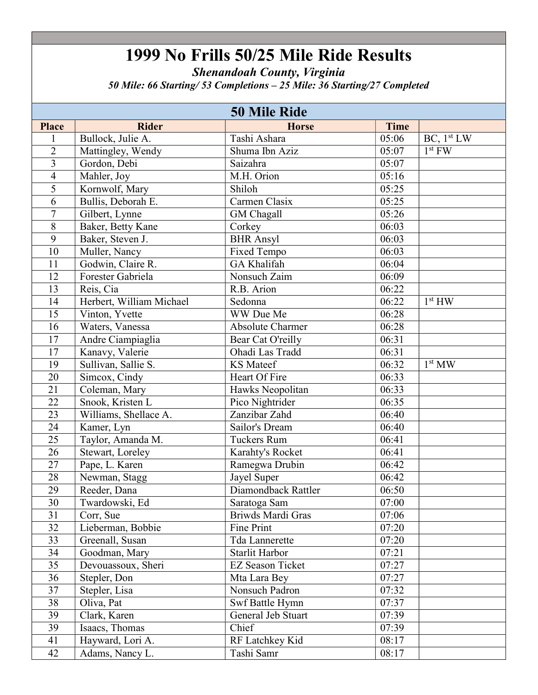Shenandoah County, Virginia

50 Mile: 66 Starting/ 53 Completions – 25 Mile: 36 Starting/27 Completed

|                 | <b>50 Mile Ride</b>      |                         |             |                        |
|-----------------|--------------------------|-------------------------|-------------|------------------------|
| <b>Place</b>    | <b>Rider</b>             | <b>Horse</b>            | <b>Time</b> |                        |
| 1               | Bullock, Julie A.        | Tashi Ashara            | 05:06       | BC, 1 <sup>st</sup> LW |
| $\overline{2}$  | Mattingley, Wendy        | Shuma Ibn Aziz          | 05:07       | $1st$ FW               |
| 3               | Gordon, Debi             | Saizahra                | 05:07       |                        |
| $\overline{4}$  | Mahler, Joy              | M.H. Orion              | 05:16       |                        |
| 5               | Kornwolf, Mary           | Shiloh                  | 05:25       |                        |
| 6               | Bullis, Deborah E.       | Carmen Clasix           | 05:25       |                        |
| $\overline{7}$  | Gilbert, Lynne           | <b>GM</b> Chagall       | 05:26       |                        |
| 8               | Baker, Betty Kane        | Corkey                  | 06:03       |                        |
| 9               | Baker, Steven J.         | <b>BHR</b> Ansyl        | 06:03       |                        |
| 10              | Muller, Nancy            | Fixed Tempo             | 06:03       |                        |
| 11              | Godwin, Claire R.        | GA Khalifah             | 06:04       |                        |
| 12              | Forester Gabriela        | Nonsuch Zaim            | 06:09       |                        |
| 13              | Reis, Cia                | R.B. Arion              | 06:22       |                        |
| 14              | Herbert, William Michael | Sedonna                 | 06:22       | 1 <sup>st</sup> HW     |
| 15              | Vinton, Yvette           | WW Due Me               | 06:28       |                        |
| 16              | Waters, Vanessa          | <b>Absolute Charmer</b> | 06:28       |                        |
| 17              | Andre Ciampiaglia        | Bear Cat O'reilly       | 06:31       |                        |
| 17              | Kanavy, Valerie          | Ohadi Las Tradd         | 06:31       |                        |
| 19              | Sullivan, Sallie S.      | <b>KS</b> Mateef        | 06:32       | 1 <sup>st</sup> MW     |
| 20              | Simcox, Cindy            | Heart Of Fire           | 06:33       |                        |
| 21              | Coleman, Mary            | Hawks Neopolitan        | 06:33       |                        |
| 22              | Snook, Kristen L         | Pico Nightrider         | 06:35       |                        |
| 23              | Williams, Shellace A.    | Zanzibar Zahd           | 06:40       |                        |
| 24              | Kamer, Lyn               | Sailor's Dream          | 06:40       |                        |
| 25              | Taylor, Amanda M.        | <b>Tuckers Rum</b>      | 06:41       |                        |
| 26              | Stewart, Loreley         | Karahty's Rocket        | 06:41       |                        |
| $\overline{27}$ | Pape, L. Karen           | Ramegwa Drubin          | 06:42       |                        |
| 28              | Newman, Stagg            | Jayel Super             | 06:42       |                        |
| 29              | Reeder, Dana             | Diamondback Rattler     | 06:50       |                        |
| 30              | Twardowski, Ed           | Saratoga Sam            | 07:00       |                        |
| 31              | Corr, Sue                | Briwds Mardi Gras       | 07:06       |                        |
| 32              | Lieberman, Bobbie        | Fine Print              | 07:20       |                        |
| 33              | Greenall, Susan          | Tda Lannerette          | 07:20       |                        |
| 34              | Goodman, Mary            | <b>Starlit Harbor</b>   | 07:21       |                        |
| 35              | Devouassoux, Sheri       | <b>EZ Season Ticket</b> | 07:27       |                        |
| 36              | Stepler, Don             | Mta Lara Bey            | 07:27       |                        |
| 37              | Stepler, Lisa            | Nonsuch Padron          | 07:32       |                        |
| 38              | Oliva, Pat               | Swf Battle Hymn         | 07:37       |                        |
| 39              | Clark, Karen             | General Jeb Stuart      | 07:39       |                        |
| 39              | Isaacs, Thomas           | Chief                   | 07:39       |                        |
| 41              | Hayward, Lori A.         | RF Latchkey Kid         | 08:17       |                        |
| 42              | Adams, Nancy L.          | Tashi Samr              | 08:17       |                        |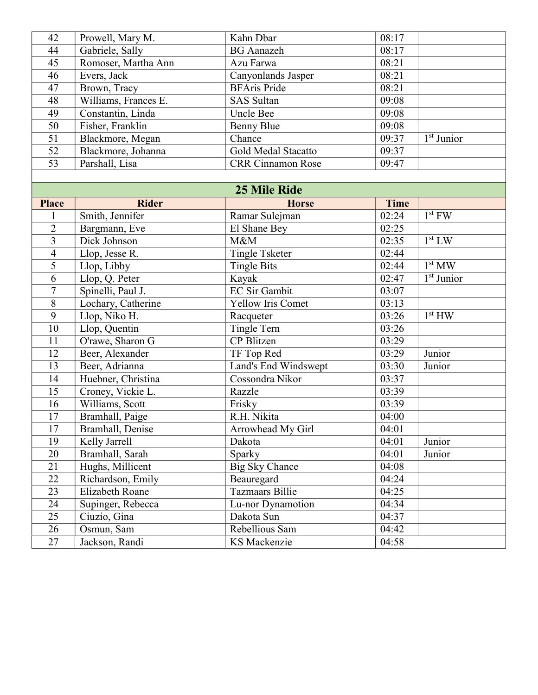| 42             | Prowell, Mary M.       | Kahn Dbar                | 08:17          |                                     |
|----------------|------------------------|--------------------------|----------------|-------------------------------------|
| 44             | Gabriele, Sally        | <b>BG</b> Aanazeh        | 08:17          |                                     |
| 45             | Romoser, Martha Ann    | Azu Farwa                | 08:21          |                                     |
| 46             | Evers, Jack            | Canyonlands Jasper       | 08:21          |                                     |
| 47             | Brown, Tracy           | <b>BFAris Pride</b>      | 08:21          |                                     |
| 48             | Williams, Frances E.   | <b>SAS</b> Sultan        | 09:08          |                                     |
| 49             | Constantin, Linda      | Uncle Bee                | 09:08          |                                     |
| 50             | Fisher, Franklin       | <b>Benny Blue</b>        | $\sqrt{09:08}$ |                                     |
| 51             | Blackmore, Megan       | Chance                   | 09:37          | $1st$ Junior                        |
| 52             | Blackmore, Johanna     | Gold Medal Stacatto      | 09:37          |                                     |
| 53             | Parshall, Lisa         | <b>CRR Cinnamon Rose</b> | 09:47          |                                     |
|                |                        |                          |                |                                     |
|                |                        | <b>25 Mile Ride</b>      |                |                                     |
| <b>Place</b>   | <b>Rider</b>           | <b>Horse</b>             | <b>Time</b>    |                                     |
|                | Smith, Jennifer        | Ramar Sulejman           | 02:24          | $1st$ FW                            |
| $\overline{2}$ | Bargmann, Eve          | El Shane Bey             | 02:25          |                                     |
| $\overline{3}$ | Dick Johnson           | M&M                      | 02:35          | 1 <sup>st</sup> LW                  |
| $\overline{4}$ | Llop, Jesse R.         | <b>Tingle Tsketer</b>    | 02:44          |                                     |
| 5              | Llop, Libby            | <b>Tingle Bits</b>       | 02:44          | 1 <sup>st</sup> MW                  |
| 6              | Llop, Q. Peter         | Kayak                    | 02:47          | $\overline{1}$ <sup>st</sup> Junior |
| $\overline{7}$ | Spinelli, Paul J.      | <b>EC Sir Gambit</b>     | 03:07          |                                     |
| 8              | Lochary, Catherine     | Yellow Iris Comet        | 03:13          |                                     |
| 9              | Llop, Niko H.          | Racqueter                | 03:26          | 1 <sup>st</sup> HW                  |
| 10             | Llop, Quentin          | Tingle Tern              | 03:26          |                                     |
| 11             | O'rawe, Sharon G       | CP Blitzen               | 03:29          |                                     |
| 12             | Beer, Alexander        | TF Top Red               | 03:29          | Junior                              |
| 13             | Beer, Adrianna         | Land's End Windswept     | 03:30          | Junior                              |
| 14             | Huebner, Christina     | Cossondra Nikor          | 03:37          |                                     |
| 15             | Croney, Vickie L.      | Razzle                   | 03:39          |                                     |
| 16             | Williams, Scott        | Frisky                   | 03:39          |                                     |
| 17             | Bramhall, Paige        | R.H. Nikita              | 04:00          |                                     |
| 17             | Bramhall, Denise       | Arrowhead My Girl        | 04:01          |                                     |
| 19             | Kelly Jarrell          | Dakota                   | 04:01          | Junior                              |
| 20             | Bramhall, Sarah        | Sparky                   | 04:01          | Junior                              |
| 21             | Hughs, Millicent       | <b>Big Sky Chance</b>    | 04:08          |                                     |
| 22             | Richardson, Emily      | Beauregard               | 04:24          |                                     |
| 23             | <b>Elizabeth Roane</b> | <b>Tazmaars Billie</b>   | 04:25          |                                     |
| 24             | Supinger, Rebecca      | Lu-nor Dynamotion        | 04:34          |                                     |
| 25             | Ciuzio, Gina           | Dakota Sun               | 04:37          |                                     |
| 26             | Osmun, Sam             | Rebellious Sam           | 04:42          |                                     |
| 27             | Jackson, Randi         | KS Mackenzie             | 04:58          |                                     |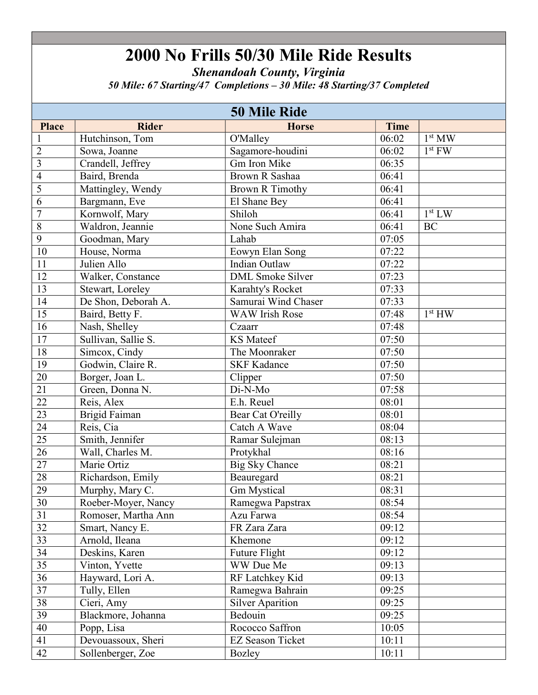Shenandoah County, Virginia

50 Mile: 67 Starting/47 Completions – 30 Mile: 48 Starting/37 Completed

|                 |                     | <b>50 Mile Ride</b>     |                    |                            |
|-----------------|---------------------|-------------------------|--------------------|----------------------------|
| <b>Place</b>    | <b>Rider</b>        | <b>Horse</b>            | <b>Time</b>        |                            |
| $\mathbf{1}$    | Hutchinson, Tom     | O'Malley                | 06:02              | $\overline{1}^{\rm st}$ MW |
| $\overline{2}$  | Sowa, Joanne        | Sagamore-houdini        | 06:02              | $1st$ FW                   |
| $\overline{3}$  | Crandell, Jeffrey   | Gm Iron Mike            | 06:35              |                            |
| $\overline{4}$  | Baird, Brenda       | Brown R Sashaa          | 06:41              |                            |
| 5               | Mattingley, Wendy   | <b>Brown R Timothy</b>  | 06:41              |                            |
| 6               | Bargmann, Eve       | El Shane Bey            | 06:41              |                            |
| $\overline{7}$  | Kornwolf, Mary      | Shiloh                  | 06:41              | 1 <sup>st</sup> LW         |
| 8               | Waldron, Jeannie    | None Such Amira         | 06:41              | BC                         |
| $\overline{9}$  | Goodman, Mary       | Lahab                   | 07:05              |                            |
| $\overline{10}$ | House, Norma        | Eowyn Elan Song         | 07:22              |                            |
| 11              | Julien Allo         | Indian Outlaw           | 07:22              |                            |
| 12              | Walker, Constance   | <b>DML</b> Smoke Silver | 07:23              |                            |
| 13              | Stewart, Loreley    | Karahty's Rocket        | 07:33              |                            |
| 14              | De Shon, Deborah A. | Samurai Wind Chaser     | 07:33              |                            |
| 15              | Baird, Betty F.     | <b>WAW Irish Rose</b>   | 07:48              | 1 <sup>st</sup> HW         |
| 16              | Nash, Shelley       | Czaarr                  | 07:48              |                            |
| $\overline{17}$ | Sullivan, Sallie S. | <b>KS</b> Mateef        | 07:50              |                            |
| $\overline{18}$ | Simcox, Cindy       | The Moonraker           | 07:50              |                            |
| 19              | Godwin, Claire R.   | <b>SKF Kadance</b>      | 07:50              |                            |
| 20              | Borger, Joan L.     | Clipper                 | 07:50              |                            |
| 21              | Green, Donna N.     | Di-N-Mo                 | 07:58              |                            |
| $\overline{22}$ | Reis, Alex          | E.h. Reuel              | 08:01              |                            |
| 23              | Brigid Faiman       | Bear Cat O'reilly       | 08:01              |                            |
| 24              | Reis, Cia           | Catch A Wave            | 08:04              |                            |
| $\overline{25}$ | Smith, Jennifer     | Ramar Sulejman          | 08:13              |                            |
| $\overline{26}$ | Wall, Charles M.    | Protykhal               | 08:16              |                            |
| $\overline{27}$ | Marie Ortiz         | <b>Big Sky Chance</b>   | 08:21              |                            |
| 28              | Richardson, Emily   | Beauregard              | $\overline{08:}21$ |                            |
| $29\,$          | Murphy, Mary C.     | <b>Gm Mystical</b>      | 08:31              |                            |
| 30              | Roeber-Moyer, Nancy | Ramegwa Papstrax        | 08:54              |                            |
| $\overline{31}$ | Romoser, Martha Ann | Azu Farwa               | 08:54              |                            |
| 32              | Smart, Nancy E.     | FR Zara Zara            | 09:12              |                            |
| $\overline{33}$ | Arnold, Ileana      | Khemone                 | 09:12              |                            |
| 34              | Deskins, Karen      | Future Flight           | 09:12              |                            |
| $\overline{35}$ | Vinton, Yvette      | WW Due Me               | 09:13              |                            |
| 36              | Hayward, Lori A.    | RF Latchkey Kid         | 09:13              |                            |
| 37              | Tully, Ellen        | Ramegwa Bahrain         | 09:25              |                            |
| 38              | Cieri, Amy          | <b>Silver Aparition</b> | 09:25              |                            |
| 39              | Blackmore, Johanna  | Bedouin                 | 09:25              |                            |
| 40              | Popp, Lisa          | Rococco Saffron         | 10:05              |                            |
| 41              | Devouassoux, Sheri  | <b>EZ Season Ticket</b> | 10:11              |                            |
| 42              | Sollenberger, Zoe   | Bozley                  | 10:11              |                            |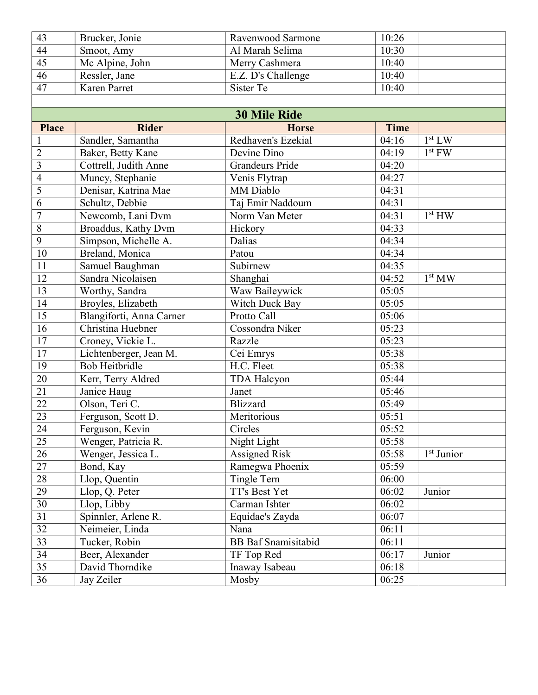| 43 | Brucker, Jonie  | Ravenwood Sarmone  | 10:26 |
|----|-----------------|--------------------|-------|
| 44 | Smoot, Amy      | Al Marah Selima    | 10:30 |
| 45 | Mc Alpine, John | Merry Cashmera     | 10:40 |
| 46 | Ressler, Jane   | E.Z. D's Challenge | 10:40 |
| 47 | Karen Parret    | Sister Te          | 10:40 |

| <b>30 Mile Ride</b>     |                          |                            |       |                    |
|-------------------------|--------------------------|----------------------------|-------|--------------------|
| <b>Place</b>            | <b>Rider</b>             | <b>Horse</b>               | Time  |                    |
| 1                       | Sandler, Samantha        | Redhaven's Ezekial         | 04:16 | 1 <sup>st</sup> LW |
| $\overline{2}$          | Baker, Betty Kane        | Devine Dino                | 04:19 | $1st$ FW           |
| $\overline{\mathbf{3}}$ | Cottrell, Judith Anne    | <b>Grandeurs Pride</b>     | 04:20 |                    |
| $\overline{4}$          | Muncy, Stephanie         | Venis Flytrap              | 04:27 |                    |
| 5                       | Denisar, Katrina Mae     | MM Diablo                  | 04:31 |                    |
| $\overline{6}$          | Schultz, Debbie          | Taj Emir Naddoum           | 04:31 |                    |
| $\overline{7}$          | Newcomb, Lani Dvm        | Norm Van Meter             | 04:31 | 1 <sup>st</sup> HW |
| $\overline{8}$          | Broaddus, Kathy Dvm      | Hickory                    | 04:33 |                    |
| $\overline{9}$          | Simpson, Michelle A.     | <b>Dalias</b>              | 04:34 |                    |
| 10                      | Breland, Monica          | Patou                      | 04:34 |                    |
| 11                      | Samuel Baughman          | Subirnew                   | 04:35 |                    |
| 12                      | Sandra Nicolaisen        | Shanghai                   | 04:52 | 1 <sup>st</sup> MW |
| 13                      | Worthy, Sandra           | Waw Baileywick             | 05:05 |                    |
| 14                      | Broyles, Elizabeth       | Witch Duck Bay             | 05:05 |                    |
| $\overline{15}$         | Blangiforti, Anna Carner | Protto Call                | 05:06 |                    |
| 16                      | Christina Huebner        | Cossondra Niker            | 05:23 |                    |
| $\overline{17}$         | Croney, Vickie L.        | Razzle                     | 05:23 |                    |
| $\overline{17}$         | Lichtenberger, Jean M.   | Cei Emrys                  | 05:38 |                    |
| 19                      | <b>Bob Heitbridle</b>    | H.C. Fleet                 | 05:38 |                    |
| $20\,$                  | Kerr, Terry Aldred       | TDA Halcyon                | 05:44 |                    |
| $\overline{21}$         | Janice Haug              | Janet                      | 05:46 |                    |
| $\overline{22}$         | Olson, Teri C.           | <b>Blizzard</b>            | 05:49 |                    |
| 23                      | Ferguson, Scott D.       | Meritorious                | 05:51 |                    |
| $\overline{24}$         | Ferguson, Kevin          | Circles                    | 05:52 |                    |
| $\overline{25}$         | Wenger, Patricia R.      | Night Light                | 05:58 |                    |
| 26                      | Wenger, Jessica L.       | <b>Assigned Risk</b>       | 05:58 | $1st$ Junior       |
| 27                      | Bond, Kay                | Ramegwa Phoenix            | 05:59 |                    |
| 28                      | Llop, Quentin            | <b>Tingle Tern</b>         | 06:00 |                    |
| 29                      | Llop, Q. Peter           | TT's Best Yet              | 06:02 | Junior             |
| 30                      | Llop, Libby              | Carman Ishter              | 06:02 |                    |
| 31                      | Spinnler, Arlene R.      | Equidae's Zayda            | 06:07 |                    |
| $\overline{32}$         | Neimeier, Linda          | Nana                       | 06:11 |                    |
| 33                      | Tucker, Robin            | <b>BB</b> Baf Snamisitabid | 06:11 |                    |
| $\overline{34}$         | Beer, Alexander          | TF Top Red                 | 06:17 | Junior             |
| 35                      | David Thorndike          | Inaway Isabeau             | 06:18 |                    |
| 36                      | Jay Zeiler               | Mosby                      | 06:25 |                    |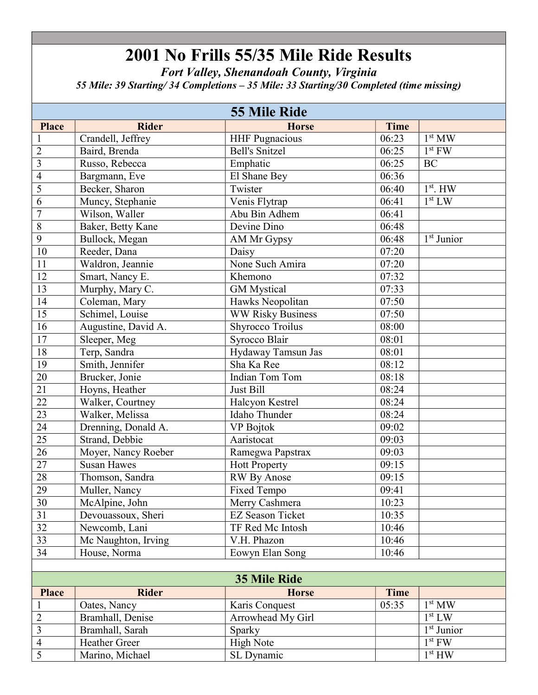Fort Valley, Shenandoah County, Virginia 55 Mile: 39 Starting/ 34 Completions – 35 Mile: 33 Starting/30 Completed (time missing)

|                 |                     | <b>55 Mile Ride</b>      |             |                    |
|-----------------|---------------------|--------------------------|-------------|--------------------|
| Place           | <b>Rider</b>        | <b>Horse</b>             | <b>Time</b> |                    |
|                 | Crandell, Jeffrey   | <b>HHF Pugnacious</b>    | 06:23       | 1 <sup>st</sup> MW |
| $\overline{2}$  | Baird, Brenda       | <b>Bell's Snitzel</b>    | 06:25       | $1st$ FW           |
| $\overline{3}$  | Russo, Rebecca      | Emphatic                 | 06:25       | <b>BC</b>          |
| $\overline{4}$  | Bargmann, Eve       | El Shane Bey             | 06:36       |                    |
| 5               | Becker, Sharon      | Twister                  | 06:40       | $1st$ . HW         |
| 6               | Muncy, Stephanie    | Venis Flytrap            | 06:41       | 1 <sup>st</sup> LW |
| $\overline{7}$  | Wilson, Waller      | Abu Bin Adhem            | 06:41       |                    |
| $\overline{8}$  | Baker, Betty Kane   | Devine Dino              | 06:48       |                    |
| $\overline{9}$  | Bullock, Megan      | AM Mr Gypsy              | 06:48       | $1st$ Junior       |
| 10              | Reeder, Dana        | Daisy                    | 07:20       |                    |
| 11              | Waldron, Jeannie    | None Such Amira          | 07:20       |                    |
| 12              | Smart, Nancy E.     | Khemono                  | 07:32       |                    |
| 13              | Murphy, Mary C.     | <b>GM</b> Mystical       | 07:33       |                    |
| 14              | Coleman, Mary       | Hawks Neopolitan         | 07:50       |                    |
| 15              | Schimel, Louise     | <b>WW Risky Business</b> | 07:50       |                    |
| 16              | Augustine, David A. | <b>Shyrocco Troilus</b>  | 08:00       |                    |
| 17              | Sleeper, Meg        | Syrocco Blair            | 08:01       |                    |
| 18              | Terp, Sandra        | Hydaway Tamsun Jas       | 08:01       |                    |
| 19              | Smith, Jennifer     | Sha Ka Ree               | 08:12       |                    |
| 20              | Brucker, Jonie      | Indian Tom Tom           | 08:18       |                    |
| $\overline{21}$ | Hoyns, Heather      | Just Bill                | 08:24       |                    |
| $\overline{22}$ | Walker, Courtney    | Halcyon Kestrel          | 08:24       |                    |
| $\overline{23}$ | Walker, Melissa     | Idaho Thunder            | 08:24       |                    |
| $\overline{24}$ | Drenning, Donald A. | VP Bojtok                | 09:02       |                    |
| $\overline{25}$ | Strand, Debbie      | Aaristocat               | 09:03       |                    |
| 26              | Moyer, Nancy Roeber | Ramegwa Papstrax         | 09:03       |                    |
| $\overline{27}$ | <b>Susan Hawes</b>  | <b>Hott Property</b>     | 09:15       |                    |
| 28              | Thomson, Sandra     | RW By Anose              | 09:15       |                    |
| 29              | Muller, Nancy       | Fixed Tempo              | 09:41       |                    |
| 30              | McAlpine, John      | Merry Cashmera           | 10:23       |                    |
| 31              | Devouassoux, Sheri  | <b>EZ Season Ticket</b>  | 10:35       |                    |
| $\overline{32}$ | Newcomb, Lani       | TF Red Mc Intosh         | 10:46       |                    |
| 33              | Mc Naughton, Irving | V.H. Phazon              | 10:46       |                    |
| 34              | House, Norma        | Eowyn Elan Song          | 10:46       |                    |
|                 |                     |                          |             |                    |
|                 |                     | <b>35 Mile Ride</b>      |             |                    |
| <b>Place</b>    | <b>Rider</b>        | <b>Horse</b>             | <b>Time</b> |                    |
|                 | Oates, Nancy        | Karis Conquest           | 05:35       | 1 <sup>st</sup> MW |
| $\overline{2}$  | Bramhall, Denise    | Arrowhead My Girl        |             | 1 <sup>st</sup> LW |
| $\overline{3}$  | Bramhall, Sarah     | Sparky                   |             | $1st$ Junior       |
| $\overline{4}$  | Heather Greer       | <b>High Note</b>         |             | $1st$ FW           |
| 5               | Marino, Michael     | SL Dynamic               |             | 1 <sup>st</sup> HW |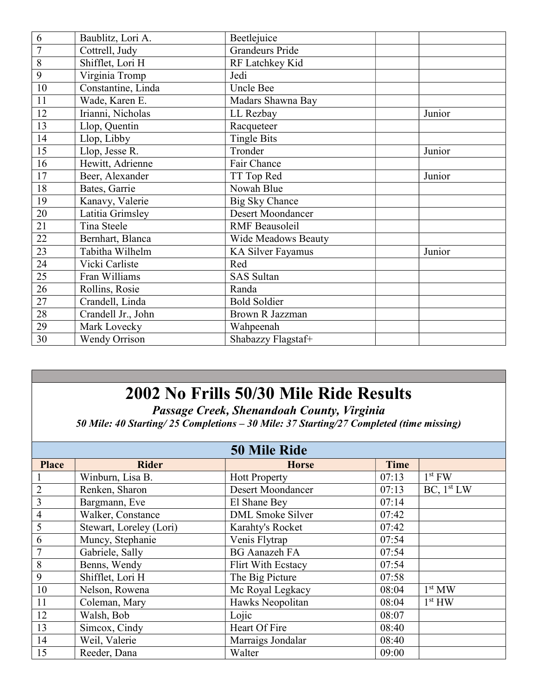| 6               | Baublitz, Lori A.    | Beetlejuice              |        |
|-----------------|----------------------|--------------------------|--------|
| $\overline{7}$  | Cottrell, Judy       | Grandeurs Pride          |        |
| 8               | Shifflet, Lori H     | RF Latchkey Kid          |        |
| 9               | Virginia Tromp       | Jedi                     |        |
| 10              | Constantine, Linda   | Uncle Bee                |        |
| 11              | Wade, Karen E.       | Madars Shawna Bay        |        |
| 12              | Irianni, Nicholas    | LL Rezbay                | Junior |
| $\overline{13}$ | Llop, Quentin        | Racqueteer               |        |
| 14              | Llop, Libby          | <b>Tingle Bits</b>       |        |
| 15              | Llop, Jesse R.       | Tronder                  | Junior |
| 16              | Hewitt, Adrienne     | Fair Chance              |        |
| 17              | Beer, Alexander      | TT Top Red               | Junior |
| 18              | Bates, Garrie        | Nowah Blue               |        |
| 19              | Kanavy, Valerie      | <b>Big Sky Chance</b>    |        |
| 20              | Latitia Grimsley     | <b>Desert Moondancer</b> |        |
| 21              | Tina Steele          | <b>RMF</b> Beausoleil    |        |
| 22              | Bernhart, Blanca     | Wide Meadows Beauty      |        |
| $\overline{23}$ | Tabitha Wilhelm      | KA Silver Fayamus        | Junior |
| 24              | Vicki Carliste       | Red                      |        |
| 25              | Fran Williams        | <b>SAS</b> Sultan        |        |
| 26              | Rollins, Rosie       | Randa                    |        |
| 27              | Crandell, Linda      | <b>Bold Soldier</b>      |        |
| 28              | Crandell Jr., John   | Brown R Jazzman          |        |
| 29              | Mark Lovecky         | Wahpeenah                |        |
| 30              | <b>Wendy Orrison</b> | Shabazzy Flagstaf+       |        |

Passage Creek, Shenandoah County, Virginia 50 Mile: 40 Starting/ 25 Completions – 30 Mile: 37 Starting/27 Completed (time missing)

|                | <b>50 Mile Ride</b>     |                          |             |                        |  |
|----------------|-------------------------|--------------------------|-------------|------------------------|--|
| <b>Place</b>   | <b>Rider</b>            | <b>Horse</b>             | <b>Time</b> |                        |  |
|                | Winburn, Lisa B.        | <b>Hott Property</b>     | 07:13       | $1st$ FW               |  |
| $\overline{2}$ | Renken, Sharon          | <b>Desert Moondancer</b> | 07:13       | BC, 1 <sup>st</sup> LW |  |
| 3              | Bargmann, Eve           | El Shane Bey             | 07:14       |                        |  |
| $\overline{4}$ | Walker, Constance       | <b>DML</b> Smoke Silver  | 07:42       |                        |  |
| 5              | Stewart, Loreley (Lori) | Karahty's Rocket         | 07:42       |                        |  |
| 6              | Muncy, Stephanie        | Venis Flytrap            | 07:54       |                        |  |
| $\overline{7}$ | Gabriele, Sally         | <b>BG</b> Aanazeh FA     | 07:54       |                        |  |
| 8              | Benns, Wendy            | Flirt With Ecstacy       | 07:54       |                        |  |
| 9              | Shifflet, Lori H        | The Big Picture          | 07:58       |                        |  |
| 10             | Nelson, Rowena          | Mc Royal Legkacy         | 08:04       | 1 <sup>st</sup> MW     |  |
| 11             | Coleman, Mary           | Hawks Neopolitan         | 08:04       | 1 <sup>st</sup> HW     |  |
| 12             | Walsh, Bob              | Lojic                    | 08:07       |                        |  |
| 13             | Simcox, Cindy           | Heart Of Fire            | 08:40       |                        |  |
| 14             | Weil, Valerie           | Marraigs Jondalar        | 08:40       |                        |  |
| 15             | Reeder, Dana            | Walter                   | 09:00       |                        |  |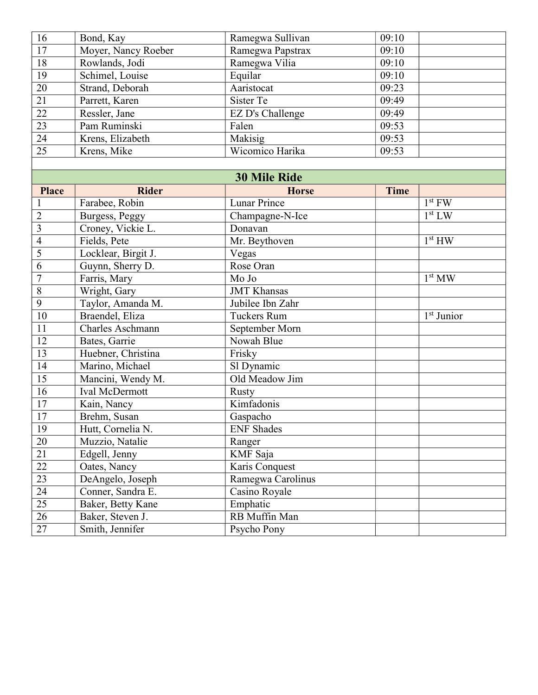| 16              | Bond, Kay           | Ramegwa Sullivan    | 09:10       |                    |
|-----------------|---------------------|---------------------|-------------|--------------------|
| $\overline{17}$ | Moyer, Nancy Roeber | Ramegwa Papstrax    | 09:10       |                    |
| $\overline{18}$ | Rowlands, Jodi      | Ramegwa Vilia       | 09:10       |                    |
| 19              | Schimel, Louise     | Equilar             | 09:10       |                    |
| 20              | Strand, Deborah     | Aaristocat          | 09:23       |                    |
| 21              | Parrett, Karen      | Sister Te           | 09:49       |                    |
| $\overline{22}$ | Ressler, Jane       | EZ D's Challenge    | 09:49       |                    |
| $\overline{23}$ | Pam Ruminski        | Falen               | 09:53       |                    |
| $\overline{24}$ | Krens, Elizabeth    | Makisig             | 09:53       |                    |
| $\overline{25}$ | Krens, Mike         | Wicomico Harika     | 09:53       |                    |
|                 |                     |                     |             |                    |
|                 |                     | <b>30 Mile Ride</b> |             |                    |
| <b>Place</b>    | <b>Rider</b>        | <b>Horse</b>        | <b>Time</b> |                    |
|                 | Farabee, Robin      | <b>Lunar Prince</b> |             | $1st$ FW           |
| $\overline{2}$  | Burgess, Peggy      | Champagne-N-Ice     |             | 1 <sup>st</sup> LW |
| 3               | Croney, Vickie L.   | Donavan             |             |                    |
| $\overline{4}$  | Fields, Pete        | Mr. Beythoven       |             | 1 <sup>st</sup> HW |
| 5               | Locklear, Birgit J. | Vegas               |             |                    |
| 6               | Guynn, Sherry D.    | Rose Oran           |             |                    |
| $\overline{7}$  | Farris, Mary        | Mo Jo               |             | 1 <sup>st</sup> MW |
| $\,8\,$         | Wright, Gary        | <b>JMT</b> Khansas  |             |                    |
| 9               | Taylor, Amanda M.   | Jubilee Ibn Zahr    |             |                    |
| $\overline{10}$ | Braendel, Eliza     | <b>Tuckers Rum</b>  |             | $1st$ Junior       |
| 11              | Charles Aschmann    | September Morn      |             |                    |
| 12              | Bates, Garrie       | Nowah Blue          |             |                    |
| 13              | Huebner, Christina  | Frisky              |             |                    |
| 14              | Marino, Michael     | Sl Dynamic          |             |                    |
| 15              | Mancini, Wendy M.   | Old Meadow Jim      |             |                    |
| 16              | Ival McDermott      | <b>Rusty</b>        |             |                    |
| $\overline{17}$ | Kain, Nancy         | Kimfadonis          |             |                    |
| 17              | Brehm, Susan        | Gaspacho            |             |                    |
| 19              | Hutt, Cornelia N.   | <b>ENF</b> Shades   |             |                    |
| 20              | Muzzio, Natalie     | Ranger              |             |                    |
| 21              | Edgell, Jenny       | KMF Saja            |             |                    |
| 22              | Oates, Nancy        | Karis Conquest      |             |                    |
| $\overline{23}$ | DeAngelo, Joseph    | Ramegwa Carolinus   |             |                    |
| 24              | Conner, Sandra E.   | Casino Royale       |             |                    |
| $\overline{25}$ | Baker, Betty Kane   | Emphatic            |             |                    |
| 26              | Baker, Steven J.    | RB Muffin Man       |             |                    |
| $\overline{27}$ | Smith, Jennifer     | Psycho Pony         |             |                    |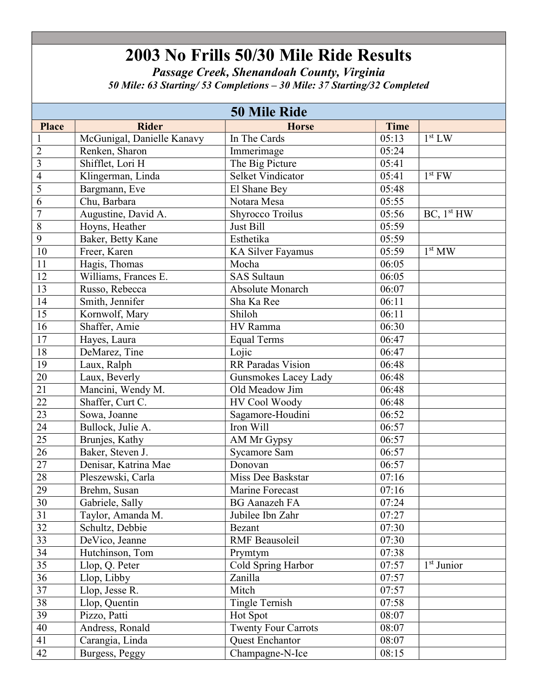Passage Creek, Shenandoah County, Virginia 50 Mile: 63 Starting/ 53 Completions – 30 Mile: 37 Starting/32 Completed

|                 | <b>50 Mile Ride</b>        |                            |       |                                     |  |
|-----------------|----------------------------|----------------------------|-------|-------------------------------------|--|
| <b>Place</b>    | <b>Rider</b>               | <b>Horse</b>               | Time  |                                     |  |
| $\mathbf{1}$    | McGunigal, Danielle Kanavy | In The Cards               | 05:13 | 1 <sup>st</sup> LW                  |  |
| $\overline{2}$  | Renken, Sharon             | Immerimage                 | 05:24 |                                     |  |
| $\overline{3}$  | Shifflet, Lori H           | The Big Picture            | 05:41 |                                     |  |
| $\overline{4}$  | Klingerman, Linda          | <b>Selket Vindicator</b>   | 05:41 | $1st$ FW                            |  |
| 5               | Bargmann, Eve              | El Shane Bey               | 05:48 |                                     |  |
| 6               | Chu, Barbara               | Notara Mesa                | 05:55 |                                     |  |
| $\overline{7}$  | Augustine, David A.        | <b>Shyrocco Troilus</b>    | 05:56 | BC, 1 <sup>st</sup> HW              |  |
| $\overline{8}$  | Hoyns, Heather             | Just Bill                  | 05:59 |                                     |  |
| $\overline{9}$  | Baker, Betty Kane          | Esthetika                  | 05:59 |                                     |  |
| $\overline{10}$ | Freer, Karen               | <b>KA Silver Fayamus</b>   | 05:59 | $\overline{1}^{\rm st}$ MW          |  |
| 11              | Hagis, Thomas              | Mocha                      | 06:05 |                                     |  |
| 12              | Williams, Frances E.       | <b>SAS Sultaun</b>         | 06:05 |                                     |  |
| 13              | Russo, Rebecca             | <b>Absolute Monarch</b>    | 06:07 |                                     |  |
| 14              | Smith, Jennifer            | Sha Ka Ree                 | 06:11 |                                     |  |
| 15              | Kornwolf, Mary             | Shiloh                     | 06:11 |                                     |  |
| 16              | Shaffer, Amie              | HV Ramma                   | 06:30 |                                     |  |
| 17              | Hayes, Laura               | <b>Equal Terms</b>         | 06:47 |                                     |  |
| 18              | DeMarez, Tine              | Lojic                      | 06:47 |                                     |  |
| 19              | Laux, Ralph                | <b>RR</b> Paradas Vision   | 06:48 |                                     |  |
| 20              | Laux, Beverly              | Gunsmokes Lacey Lady       | 06:48 |                                     |  |
| 21              | Mancini, Wendy M.          | Old Meadow Jim             | 06:48 |                                     |  |
| 22              | Shaffer, Curt C.           | HV Cool Woody              | 06:48 |                                     |  |
| $\overline{23}$ | Sowa, Joanne               | Sagamore-Houdini           | 06:52 |                                     |  |
| $\overline{24}$ | Bullock, Julie A.          | Iron Will                  | 06:57 |                                     |  |
| $\overline{25}$ | Brunjes, Kathy             | AM Mr Gypsy                | 06:57 |                                     |  |
| $\overline{26}$ | Baker, Steven J.           | <b>Sycamore Sam</b>        | 06:57 |                                     |  |
| $\overline{27}$ | Denisar, Katrina Mae       | Donovan                    | 06:57 |                                     |  |
| 28              | Pleszewski, Carla          | Miss Dee Baskstar          | 07:16 |                                     |  |
| 29              | Brehm, Susan               | Marine Forecast            | 07:16 |                                     |  |
| 30              | Gabriele, Sally            | <b>BG</b> Aanazeh FA       | 07:24 |                                     |  |
| 31              | Taylor, Amanda M.          | Jubilee Ibn Zahr           | 07:27 |                                     |  |
| $\overline{32}$ | Schultz, Debbie            | Bezant                     | 07:30 |                                     |  |
| $\overline{33}$ | DeVico, Jeanne             | <b>RMF</b> Beausoleil      | 07:30 |                                     |  |
| $\overline{34}$ | Hutchinson, Tom            | Prymtym                    | 07:38 |                                     |  |
| $\overline{35}$ | Llop, Q. Peter             | Cold Spring Harbor         | 07:57 | $\overline{1}$ <sup>st</sup> Junior |  |
| $\overline{36}$ | Llop, Libby                | Zanilla                    | 07:57 |                                     |  |
| 37              | Llop, Jesse R.             | Mitch                      | 07:57 |                                     |  |
| 38              | Llop, Quentin              | <b>Tingle Ternish</b>      | 07:58 |                                     |  |
| 39              | Pizzo, Patti               | Hot Spot                   | 08:07 |                                     |  |
| 40              | Andress, Ronald            | <b>Twenty Four Carrots</b> | 08:07 |                                     |  |
| 41              | Carangia, Linda            | <b>Quest Enchantor</b>     | 08:07 |                                     |  |
| 42              | Burgess, Peggy             | Champagne-N-Ice            | 08:15 |                                     |  |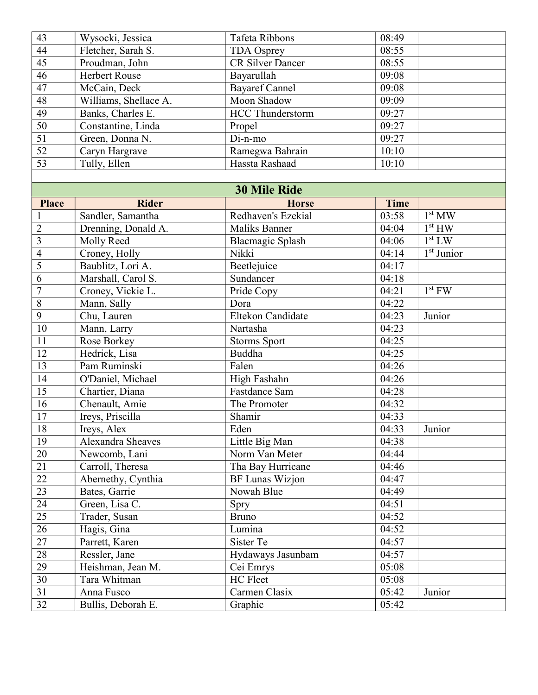| 43              | Wysocki, Jessica         | Tafeta Ribbons          | 08:49       |                        |
|-----------------|--------------------------|-------------------------|-------------|------------------------|
| $\overline{44}$ | Fletcher, Sarah S.       | <b>TDA Osprey</b>       | 08:55       |                        |
| 45              | Proudman, John           | <b>CR Silver Dancer</b> | 08:55       |                        |
| 46              | <b>Herbert Rouse</b>     | Bayarullah              | 09:08       |                        |
| 47              | McCain, Deck             | <b>Bayaref Cannel</b>   | 09:08       |                        |
| 48              | Williams, Shellace A.    | Moon Shadow             | 09:09       |                        |
| 49              | Banks, Charles E.        | <b>HCC Thunderstorm</b> | 09:27       |                        |
| $\overline{50}$ | Constantine, Linda       | Propel                  | 09:27       |                        |
| $\overline{51}$ | Green, Donna N.          | $Di$ -n-mo              | 09:27       |                        |
| $\overline{52}$ | Caryn Hargrave           | Ramegwa Bahrain         | 10:10       |                        |
| 53              | Tully, Ellen             | Hassta Rashaad          | 10:10       |                        |
|                 |                          |                         |             |                        |
|                 |                          | <b>30 Mile Ride</b>     |             |                        |
| <b>Place</b>    | <b>Rider</b>             | <b>Horse</b>            | <b>Time</b> |                        |
|                 | Sandler, Samantha        | Redhaven's Ezekial      | 03:58       | 1 <sup>st</sup> MW     |
| $\overline{2}$  | Drenning, Donald A.      | <b>Maliks Banner</b>    | 04:04       | 1 <sup>st</sup> HW     |
| $\overline{3}$  | Molly Reed               | Blacmagic Splash        | 04:06       | 1 <sup>st</sup> LW     |
| $\overline{4}$  | Croney, Holly            | Nikki                   | 04:14       | 1 <sup>st</sup> Junior |
| $\overline{5}$  | Baublitz, Lori A.        | Beetlejuice             | 04:17       |                        |
| 6               | Marshall, Carol S.       | Sundancer               | 04:18       |                        |
| $\overline{7}$  | Croney, Vickie L.        | Pride Copy              | 04:21       | $1st$ FW               |
| $\overline{8}$  | Mann, Sally              | Dora                    | 04:22       |                        |
| $\overline{9}$  | Chu, Lauren              | Eltekon Candidate       | 04:23       | Junior                 |
| $10\,$          | Mann, Larry              | Nartasha                | 04:23       |                        |
| 11              | Rose Borkey              | <b>Storms Sport</b>     | 04:25       |                        |
| 12              | Hedrick, Lisa            | <b>Buddha</b>           | 04:25       |                        |
| 13              | Pam Ruminski             | Falen                   | 04:26       |                        |
| 14              | O'Daniel, Michael        | High Fashahn            | 04:26       |                        |
| 15              | Chartier, Diana          | Fastdance Sam           | 04:28       |                        |
| 16              | Chenault, Amie           | The Promoter            | 04:32       |                        |
| 17              | Ireys, Priscilla         | Shamir                  | 04:33       |                        |
| 18              | Ireys, Alex              | Eden                    | 04:33       | Junior                 |
| 19              | <b>Alexandra Sheaves</b> | Little Big Man          | 04:38       |                        |
| 20              | Newcomb, Lani            | Norm Van Meter          | 04:44       |                        |
| 21              | Carroll, Theresa         | Tha Bay Hurricane       | 04:46       |                        |
| 22              | Abernethy, Cynthia       | <b>BF Lunas Wizjon</b>  | 04:47       |                        |
| 23              | Bates, Garrie            | Nowah Blue              | 04:49       |                        |
| 24              | Green, Lisa C.           | Spry                    | 04:51       |                        |
| $\overline{25}$ | Trader, Susan            | <b>Bruno</b>            | 04:52       |                        |
| 26              | Hagis, Gina              | Lumina                  | 04:52       |                        |
| 27              | Parrett, Karen           | Sister Te               | 04:57       |                        |
| 28              | Ressler, Jane            | Hydaways Jasunbam       | 04:57       |                        |
| 29              | Heishman, Jean M.        | Cei Emrys               | 05:08       |                        |
| 30              | Tara Whitman             | HC Fleet                | 05:08       |                        |
| 31              | Anna Fusco               | Carmen Clasix           | 05:42       | Junior                 |
| $\overline{32}$ | Bullis, Deborah E.       | Graphic                 | 05:42       |                        |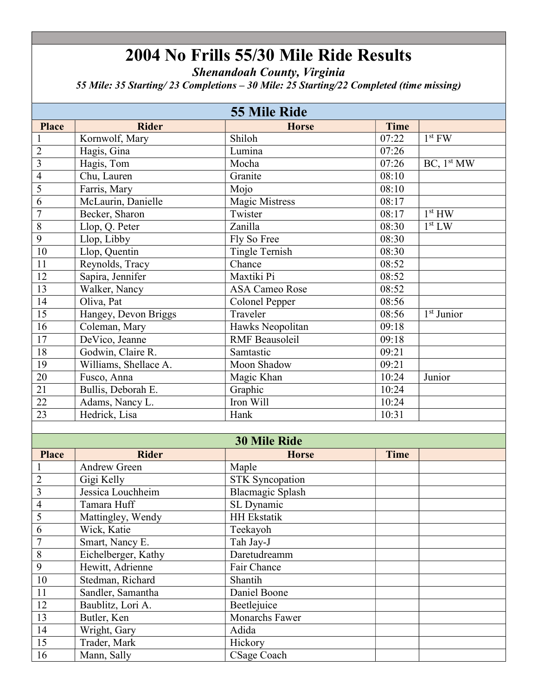Shenandoah County, Virginia

55 Mile: 35 Starting/ 23 Completions – 30 Mile: 25 Starting/22 Completed (time missing)

|                         |                       | <b>55 Mile Ride</b>     |             |                        |
|-------------------------|-----------------------|-------------------------|-------------|------------------------|
| <b>Place</b>            | <b>Rider</b>          | <b>Horse</b>            | <b>Time</b> |                        |
|                         | Kornwolf, Mary        | Shiloh                  | 07:22       | $1st$ FW               |
| $\overline{2}$          | Hagis, Gina           | Lumina                  | 07:26       |                        |
| $\overline{\mathbf{3}}$ | Hagis, Tom            | Mocha                   | 07:26       | BC, 1 <sup>st</sup> MW |
| $\overline{4}$          | Chu, Lauren           | Granite                 | 08:10       |                        |
| 5                       | Farris, Mary          | Mojo                    | 08:10       |                        |
| $\overline{6}$          | McLaurin, Danielle    | Magic Mistress          | 08:17       |                        |
| $\overline{7}$          | Becker, Sharon        | Twister                 | 08:17       | 1 <sup>st</sup> HW     |
| $\overline{8}$          | Llop, Q. Peter        | Zanilla                 | 08:30       | 1 <sup>st</sup> LW     |
| $\overline{9}$          | Llop, Libby           | Fly So Free             | 08:30       |                        |
| $\overline{10}$         | Llop, Quentin         | <b>Tingle Ternish</b>   | 08:30       |                        |
| 11                      | Reynolds, Tracy       | Chance                  | 08:52       |                        |
| 12                      | Sapira, Jennifer      | Maxtiki Pi              | 08:52       |                        |
| 13                      | Walker, Nancy         | <b>ASA Cameo Rose</b>   | 08:52       |                        |
| 14                      | Oliva, Pat            | <b>Colonel Pepper</b>   | 08:56       |                        |
| 15                      | Hangey, Devon Briggs  | Traveler                | 08:56       | $1st$ Junior           |
| 16                      | Coleman, Mary         | Hawks Neopolitan        | 09:18       |                        |
| 17                      | DeVico, Jeanne        | <b>RMF</b> Beausoleil   | 09:18       |                        |
| 18                      | Godwin, Claire R.     | Samtastic               | 09:21       |                        |
| $\overline{19}$         | Williams, Shellace A. | Moon Shadow             | 09:21       |                        |
| $20\,$                  | Fusco, Anna           | Magic Khan              | 10:24       | Junior                 |
| $\overline{21}$         | Bullis, Deborah E.    | Graphic                 | 10:24       |                        |
| $\overline{22}$         | Adams, Nancy L.       | Iron Will               | 10:24       |                        |
| 23                      | Hedrick, Lisa         | Hank                    | 10:31       |                        |
|                         |                       |                         |             |                        |
|                         |                       | <b>30 Mile Ride</b>     |             |                        |
| <b>Place</b>            | <b>Rider</b>          | <b>Horse</b>            | Time        |                        |
| $\mathbf{1}$            | Andrew Green          | Maple                   |             |                        |
| $\overline{2}$          | Gigi Kelly            | <b>STK Syncopation</b>  |             |                        |
| $\overline{\mathbf{3}}$ | Jessica Louchheim     | <b>Blacmagic Splash</b> |             |                        |
| $\overline{4}$          | Tamara Huff           | SL Dynamic              |             |                        |
| $\overline{5}$          | Mattingley, Wendy     | <b>HH Ekstatik</b>      |             |                        |
| $\overline{6}$          | Wick, Katie           | Teekayoh                |             |                        |
| $\overline{7}$          | Smart, Nancy E.       | Tah Jay-J               |             |                        |
| $\overline{8}$          | Eichelberger, Kathy   | Daretudreamm            |             |                        |
| $\overline{9}$          | Hewitt, Adrienne      | Fair Chance             |             |                        |
| 10                      | Stedman, Richard      | Shantih                 |             |                        |
| $11\,$                  | Sandler, Samantha     | Daniel Boone            |             |                        |
| 12                      | Baublitz, Lori A.     | Beetlejuice             |             |                        |
| 13                      | Butler, Ken           | <b>Monarchs Fawer</b>   |             |                        |
| 14                      | Wright, Gary          | Adida                   |             |                        |
| $\overline{15}$         | Trader, Mark          | Hickory                 |             |                        |
| 16                      | Mann, Sally           | CSage Coach             |             |                        |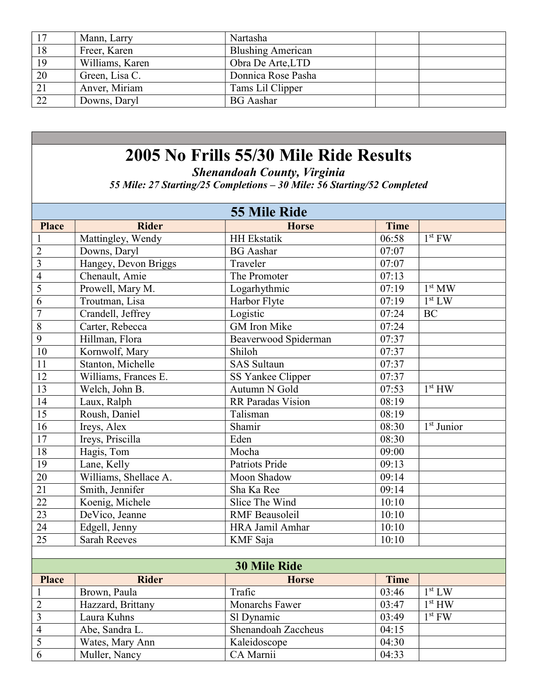| 17 | Mann, Larry     | Nartasha                 |  |
|----|-----------------|--------------------------|--|
| 18 | Freer, Karen    | <b>Blushing American</b> |  |
| 19 | Williams, Karen | Obra De Arte, LTD        |  |
| 20 | Green, Lisa C.  | Donnica Rose Pasha       |  |
| 21 | Anver, Miriam   | Tams Lil Clipper         |  |
| 22 | Downs, Daryl    | <b>BG</b> Aashar         |  |

Shenandoah County, Virginia

55 Mile: 27 Starting/25 Completions – 30 Mile: 56 Starting/52 Completed

|                 | <b>55 Mile Ride</b>   |                       |                    |                        |  |
|-----------------|-----------------------|-----------------------|--------------------|------------------------|--|
| <b>Place</b>    | <b>Rider</b>          | <b>Horse</b>          | <b>Time</b>        |                        |  |
| $\mathbf{1}$    | Mattingley, Wendy     | <b>HH</b> Ekstatik    | 06:58              | $1st$ FW               |  |
| $\overline{2}$  | Downs, Daryl          | <b>BG</b> Aashar      | 07:07              |                        |  |
| $\mathfrak{Z}$  | Hangey, Devon Briggs  | Traveler              | 07:07              |                        |  |
| $\overline{4}$  | Chenault, Amie        | The Promoter          | 07:13              |                        |  |
| $\overline{5}$  | Prowell, Mary M.      | Logarhythmic          | 07:19              | 1 <sup>st</sup> MW     |  |
| $\overline{6}$  | Troutman, Lisa        | Harbor Flyte          | 07:19              | 1 <sup>st</sup> LW     |  |
| $\overline{7}$  | Crandell, Jeffrey     | Logistic              | 07:24              | BC                     |  |
| $\overline{8}$  | Carter, Rebecca       | <b>GM</b> Iron Mike   | 07:24              |                        |  |
| $\overline{9}$  | Hillman, Flora        | Beaverwood Spiderman  | 07:37              |                        |  |
| 10              | Kornwolf, Mary        | Shiloh                | 07:37              |                        |  |
| 11              | Stanton, Michelle     | <b>SAS Sultaun</b>    | 07:37              |                        |  |
| $\overline{12}$ | Williams, Frances E.  | SS Yankee Clipper     | $\overline{07:37}$ |                        |  |
| $\overline{13}$ | Welch, John B.        | Autumn N Gold         | 07:53              | 1 <sup>st</sup> HW     |  |
| 14              | Laux, Ralph           | RR Paradas Vision     | 08:19              |                        |  |
| $\overline{15}$ | Roush, Daniel         | Talisman              | 08:19              |                        |  |
| 16              | Ireys, Alex           | Shamir                | 08:30              | 1 <sup>st</sup> Junior |  |
| $\overline{17}$ | Ireys, Priscilla      | Eden                  | 08:30              |                        |  |
| 18              | Hagis, Tom            | Mocha                 | 09:00              |                        |  |
| 19              | Lane, Kelly           | Patriots Pride        | $\overline{09:13}$ |                        |  |
| $\overline{20}$ | Williams, Shellace A. | Moon Shadow           | 09:14              |                        |  |
| $\overline{21}$ | Smith, Jennifer       | Sha Ka Ree            | 09:14              |                        |  |
| $\overline{22}$ | Koenig, Michele       | Slice The Wind        | 10:10              |                        |  |
| $\overline{23}$ | DeVico, Jeanne        | <b>RMF</b> Beausoleil | 10:10              |                        |  |
| $\overline{24}$ | Edgell, Jenny         | HRA Jamil Amhar       | 10:10              |                        |  |
| 25              | <b>Sarah Reeves</b>   | KMF Saja              | 10:10              |                        |  |
|                 |                       |                       |                    |                        |  |
|                 |                       | <b>30 Mile Ride</b>   |                    |                        |  |
| <b>Place</b>    | <b>Rider</b>          | <b>Horse</b>          | <b>Time</b>        |                        |  |
| $\mathbf{1}$    | Brown, Paula          | Trafic                | 03:46              | 1 <sup>st</sup> LW     |  |
| $\overline{2}$  | Hazzard, Brittany     | Monarchs Fawer        | 03:47              | 1 <sup>st</sup> HW     |  |
| 3               | Laura Kuhns           | Sl Dynamic            | 03:49              | $1st$ FW               |  |
| $\overline{4}$  | Abe, Sandra L.        | Shenandoah Zaccheus   | 04:15              |                        |  |
| 5               | Wates, Mary Ann       | Kaleidoscope          | 04:30              |                        |  |
| $\overline{6}$  | Muller, Nancy         | CA Marnii             | 04:33              |                        |  |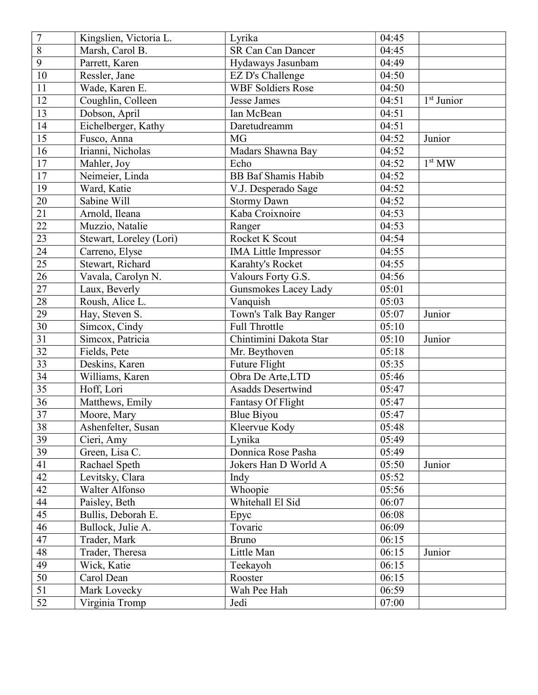| $\overline{7}$  | Kingslien, Victoria L.  | Lyrika                      | 04:45 |                    |
|-----------------|-------------------------|-----------------------------|-------|--------------------|
| 8               | Marsh, Carol B.         | <b>SR Can Can Dancer</b>    | 04:45 |                    |
| $\overline{9}$  | Parrett, Karen          | Hydaways Jasunbam           | 04:49 |                    |
| $10\,$          | Ressler, Jane           | EZ D's Challenge            | 04:50 |                    |
| 11              | Wade, Karen E.          | <b>WBF Soldiers Rose</b>    | 04:50 |                    |
| 12              | Coughlin, Colleen       | <b>Jesse James</b>          | 04:51 | $1st$ Junior       |
| 13              | Dobson, April           | Ian McBean                  | 04:51 |                    |
| 14              | Eichelberger, Kathy     | Daretudreamm                | 04:51 |                    |
| 15              | Fusco, Anna             | MG                          | 04:52 | Junior             |
| 16              | Irianni, Nicholas       | Madars Shawna Bay           | 04:52 |                    |
| $17\,$          | Mahler, Joy             | Echo                        | 04:52 | 1 <sup>st</sup> MW |
| 17              | Neimeier, Linda         | <b>BB</b> Baf Shamis Habib  | 04:52 |                    |
| 19              | Ward, Katie             | V.J. Desperado Sage         | 04:52 |                    |
| 20              | Sabine Will             | <b>Stormy Dawn</b>          | 04:52 |                    |
| 21              | Arnold, Ileana          | Kaba Croixnoire             | 04:53 |                    |
| 22              | Muzzio, Natalie         | Ranger                      | 04:53 |                    |
| 23              | Stewart, Loreley (Lori) | Rocket K Scout              | 04:54 |                    |
| 24              | Carreno, Elyse          | <b>IMA</b> Little Impressor | 04:55 |                    |
| $\overline{25}$ | Stewart, Richard        | Karahty's Rocket            | 04:55 |                    |
| 26              | Vavala, Carolyn N.      | Valours Forty G.S.          | 04:56 |                    |
| 27              | Laux, Beverly           | Gunsmokes Lacey Lady        | 05:01 |                    |
| $28\,$          | Roush, Alice L.         | Vanquish                    | 05:03 |                    |
| 29              | Hay, Steven S.          | Town's Talk Bay Ranger      | 05:07 | Junior             |
| $\overline{30}$ | Simcox, Cindy           | Full Throttle               | 05:10 |                    |
| $\overline{31}$ | Simcox, Patricia        | Chintimini Dakota Star      | 05:10 | Junior             |
| 32              | Fields, Pete            | Mr. Beythoven               | 05:18 |                    |
| $\overline{33}$ | Deskins, Karen          | Future Flight               | 05:35 |                    |
| 34              | Williams, Karen         | Obra De Arte, LTD           | 05:46 |                    |
| $\overline{35}$ | Hoff, Lori              | <b>Asadds Desertwind</b>    | 05:47 |                    |
| 36              | Matthews, Emily         | Fantasy Of Flight           | 05:47 |                    |
| $\overline{37}$ | Moore, Mary             | Blue Biyou                  | 05:47 |                    |
| $\overline{38}$ | Ashenfelter, Susan      | Kleervue Kody               | 05:48 |                    |
| 39              | Cieri, Amy              | Lynika                      | 05:49 |                    |
| 39              | Green, Lisa C.          | Donnica Rose Pasha          | 05:49 |                    |
| 41              | Rachael Speth           | Jokers Han D World A        | 05:50 | Junior             |
| 42              | Levitsky, Clara         | Indy                        | 05:52 |                    |
| 42              | Walter Alfonso          | Whoopie                     | 05:56 |                    |
| 44              | Paisley, Beth           | Whitehall El Sid            | 06:07 |                    |
| 45              | Bullis, Deborah E.      | Epyc                        | 06:08 |                    |
| 46              | Bullock, Julie A.       | Tovaric                     | 06:09 |                    |
| 47              | Trader, Mark            | <b>Bruno</b>                | 06:15 |                    |
| 48              | Trader, Theresa         | Little Man                  | 06:15 | Junior             |
| 49              | Wick, Katie             | Teekayoh                    | 06:15 |                    |
| 50              | Carol Dean              | Rooster                     | 06:15 |                    |
| 51              | Mark Lovecky            | Wah Pee Hah                 | 06:59 |                    |
| 52              | Virginia Tromp          | Jedi                        | 07:00 |                    |
|                 |                         |                             |       |                    |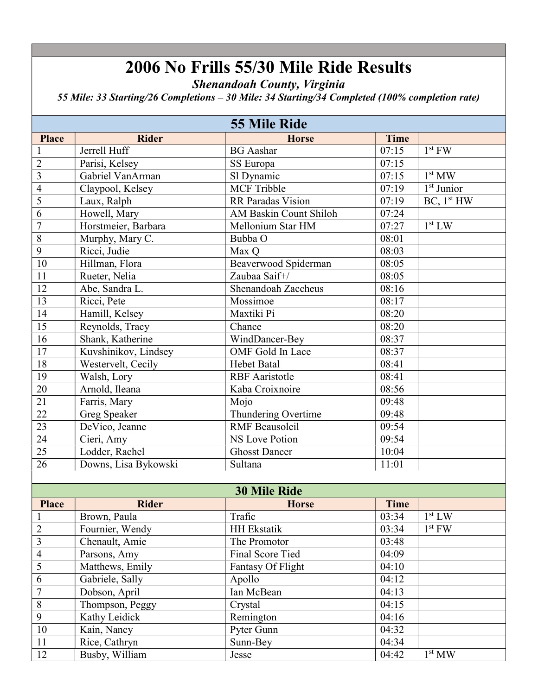Shenandoah County, Virginia

55 Mile: 33 Starting/26 Completions – 30 Mile: 34 Starting/34 Completed (100% completion rate)

| <b>55 Mile Ride</b> |                      |                               |             |                        |
|---------------------|----------------------|-------------------------------|-------------|------------------------|
| <b>Place</b>        | <b>Rider</b>         | <b>Horse</b>                  | <b>Time</b> |                        |
|                     | Jerrell Huff         | <b>BG</b> Aashar              | 07:15       | $1st$ FW               |
| $\overline{2}$      | Parisi, Kelsey       | SS Europa                     | 07:15       |                        |
| $\overline{3}$      | Gabriel VanArman     | Sl Dynamic                    | 07:15       | 1 <sup>st</sup> MW     |
| $\overline{4}$      | Claypool, Kelsey     | <b>MCF Tribble</b>            | 07:19       | $1st$ Junior           |
| $\overline{5}$      | Laux, Ralph          | RR Paradas Vision             | 07:19       | BC, 1 <sup>st</sup> HW |
| $\overline{6}$      | Howell, Mary         | <b>AM Baskin Count Shiloh</b> | 07:24       |                        |
| $\overline{7}$      | Horstmeier, Barbara  | Mellonium Star HM             | 07:27       | 1 <sup>st</sup> LW     |
| $\overline{8}$      | Murphy, Mary C.      | Bubba O                       | 08:01       |                        |
| $\overline{9}$      | Ricci, Judie         | Max Q                         | 08:03       |                        |
| $10\,$              | Hillman, Flora       | Beaverwood Spiderman          | 08:05       |                        |
| $\overline{11}$     | Rueter, Nelia        | Zaubaa Saif+/                 | 08:05       |                        |
| 12                  | Abe, Sandra L.       | Shenandoah Zaccheus           | 08:16       |                        |
| $\overline{13}$     | Ricci, Pete          | Mossimoe                      | 08:17       |                        |
| 14                  | Hamill, Kelsey       | Maxtiki Pi                    | 08:20       |                        |
| 15                  | Reynolds, Tracy      | Chance                        | 08:20       |                        |
| 16                  | Shank, Katherine     | WindDancer-Bey                | 08:37       |                        |
| $\overline{17}$     | Kuvshinikov, Lindsey | OMF Gold In Lace              | 08:37       |                        |
| 18                  | Westervelt, Cecily   | <b>Hebet Batal</b>            | 08:41       |                        |
| 19                  | Walsh, Lory          | <b>RBF</b> Aaristotle         | 08:41       |                        |
| $\overline{20}$     | Arnold, Ileana       | Kaba Croixnoire               | 08:56       |                        |
| 21                  | Farris, Mary         | Mojo                          | 09:48       |                        |
| $\overline{22}$     | <b>Greg Speaker</b>  | Thundering Overtime           | 09:48       |                        |
| 23                  | DeVico, Jeanne       | <b>RMF</b> Beausoleil         | 09:54       |                        |
| $\overline{24}$     | Cieri, Amy           | NS Love Potion                | 09:54       |                        |
| $\overline{25}$     | Lodder, Rachel       | <b>Ghosst Dancer</b>          | 10:04       |                        |
| $\overline{26}$     | Downs, Lisa Bykowski | Sultana                       | 11:01       |                        |
|                     |                      |                               |             |                        |
|                     |                      | <b>30 Mile Ride</b>           |             |                        |
| <b>Place</b>        | <b>Rider</b>         | <b>Horse</b>                  | <b>Time</b> |                        |
| $\mathbf{1}$        | Brown, Paula         | Trafic                        | 03:34       | 1 <sup>st</sup> LW     |
| $\overline{2}$      | Fournier, Wendy      | <b>HH</b> Ekstatik            | 03:34       | $1st$ FW               |
| $\overline{3}$      | Chenault, Amie       | The Promotor                  | 03:48       |                        |
| $\overline{4}$      | Parsons, Amy         | Final Score Tied              | 04:09       |                        |
| 5                   | Matthews, Emily      | Fantasy Of Flight             | 04:10       |                        |
| $\sqrt{6}$          | Gabriele, Sally      | Apollo                        | 04:12       |                        |
| $\overline{7}$      | Dobson, April        | Ian McBean                    | 04:13       |                        |
| $\overline{8}$      | Thompson, Peggy      | Crystal                       | 04:15       |                        |
| $\overline{9}$      | Kathy Leidick        | Remington                     | 04:16       |                        |
| 10                  | Kain, Nancy          | Pyter Gunn                    | 04:32       |                        |

104:32 Kain, Nancy Pyter Gunn

12 Busby, William Jesse 104:42

 $1^{\rm st}\, {\rm MW}$ 

11 Rice, Cathryn Sunn-Bey 04:34<br>12 Busby, William Jesse 04:42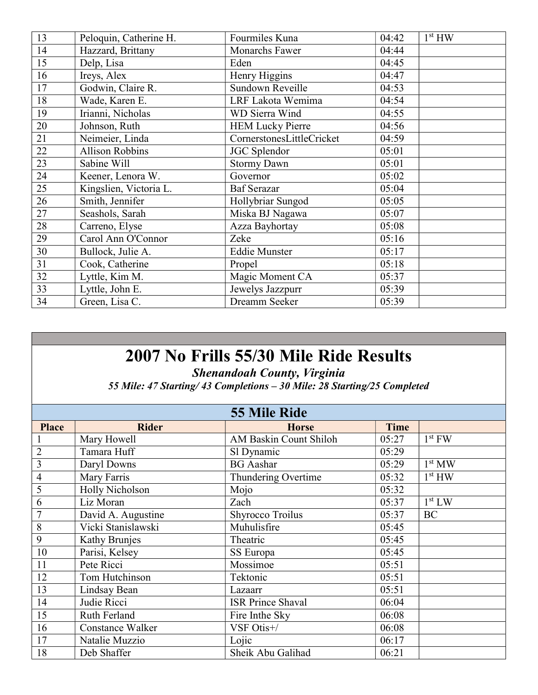| 13 | Peloquin, Catherine H. | Fourmiles Kuna            | 04:42 | 1 <sup>st</sup> HW |
|----|------------------------|---------------------------|-------|--------------------|
| 14 | Hazzard, Brittany      | Monarchs Fawer            | 04:44 |                    |
| 15 | Delp, Lisa             | Eden                      | 04:45 |                    |
| 16 | Ireys, Alex            | Henry Higgins             | 04:47 |                    |
| 17 | Godwin, Claire R.      | Sundown Reveille          | 04:53 |                    |
| 18 | Wade, Karen E.         | LRF Lakota Wemima         | 04:54 |                    |
| 19 | Irianni, Nicholas      | WD Sierra Wind            | 04:55 |                    |
| 20 | Johnson, Ruth          | <b>HEM Lucky Pierre</b>   | 04:56 |                    |
| 21 | Neimeier, Linda        | CornerstonesLittleCricket | 04:59 |                    |
| 22 | <b>Allison Robbins</b> | JGC Splendor              | 05:01 |                    |
| 23 | Sabine Will            | <b>Stormy Dawn</b>        | 05:01 |                    |
| 24 | Keener, Lenora W.      | Governor                  | 05:02 |                    |
| 25 | Kingslien, Victoria L. | <b>Baf Serazar</b>        | 05:04 |                    |
| 26 | Smith, Jennifer        | Hollybriar Sungod         | 05:05 |                    |
| 27 | Seashols, Sarah        | Miska BJ Nagawa           | 05:07 |                    |
| 28 | Carreno, Elyse         | Azza Bayhortay            | 05:08 |                    |
| 29 | Carol Ann O'Connor     | Zeke                      | 05:16 |                    |
| 30 | Bullock, Julie A.      | <b>Eddie Munster</b>      | 05:17 |                    |
| 31 | Cook, Catherine        | Propel                    | 05:18 |                    |
| 32 | Lyttle, Kim M.         | Magic Moment CA           | 05:37 |                    |
| 33 | Lyttle, John E.        | Jewelys Jazzpurr          | 05:39 |                    |
| 34 | Green, Lisa C.         | Dreamm Seeker             | 05:39 |                    |

Shenandoah County, Virginia 55 Mile: 47 Starting/ 43 Completions – 30 Mile: 28 Starting/25 Completed

|                | <b>55 Mile Ride</b>     |                               |             |                    |  |
|----------------|-------------------------|-------------------------------|-------------|--------------------|--|
| <b>Place</b>   | <b>Rider</b>            | <b>Horse</b>                  | <b>Time</b> |                    |  |
| 1              | Mary Howell             | <b>AM Baskin Count Shiloh</b> | 05:27       | $1st$ FW           |  |
| $\overline{2}$ | Tamara Huff             | Sl Dynamic                    | 05:29       |                    |  |
| 3              | Daryl Downs             | <b>BG</b> Aashar              | 05:29       | 1 <sup>st</sup> MW |  |
| 4              | Mary Farris             | Thundering Overtime           | 05:32       | 1 <sup>st</sup> HW |  |
| 5              | Holly Nicholson         | Mojo                          | 05:32       |                    |  |
| 6              | Liz Moran               | Zach                          | 05:37       | 1 <sup>st</sup> LW |  |
| $\overline{7}$ | David A. Augustine      | Shyrocco Troilus              | 05:37       | <b>BC</b>          |  |
| 8              | Vicki Stanislawski      | Muhulisfire                   | 05:45       |                    |  |
| 9              | Kathy Brunjes           | Theatric                      | 05:45       |                    |  |
| 10             | Parisi, Kelsey          | SS Europa                     | 05:45       |                    |  |
| 11             | Pete Ricci              | Mossimoe                      | 05:51       |                    |  |
| 12             | Tom Hutchinson          | Tektonic                      | 05:51       |                    |  |
| 13             | Lindsay Bean            | Lazaarr                       | 05:51       |                    |  |
| 14             | Judie Ricci             | <b>ISR Prince Shaval</b>      | 06:04       |                    |  |
| 15             | Ruth Ferland            | Fire Inthe Sky                | 06:08       |                    |  |
| 16             | <b>Constance Walker</b> | VSF Otis+/                    | 06:08       |                    |  |
| 17             | Natalie Muzzio          | Lojic                         | 06:17       |                    |  |
| 18             | Deb Shaffer             | Sheik Abu Galihad             | 06:21       |                    |  |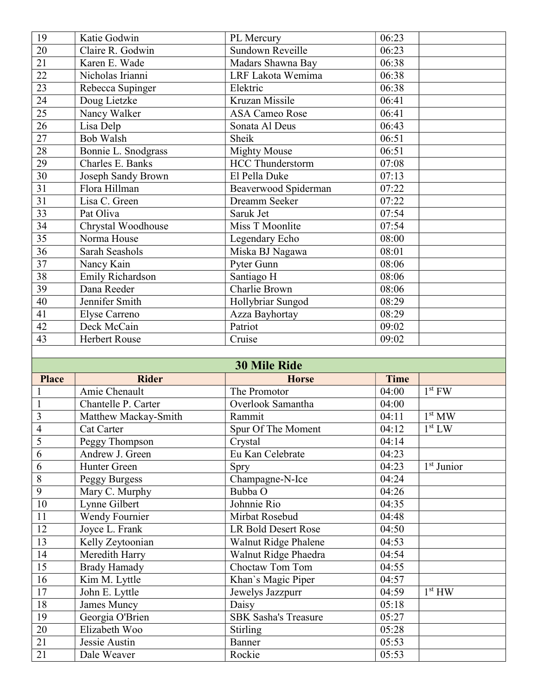| Katie Godwin         | PL Mercury              | 06:23                                 |  |
|----------------------|-------------------------|---------------------------------------|--|
| Claire R. Godwin     | Sundown Reveille        | 06:23                                 |  |
| Karen E. Wade        | Madars Shawna Bay       | 06:38                                 |  |
| Nicholas Irianni     | LRF Lakota Wemima       | 06:38                                 |  |
| Rebecca Supinger     | Elektric                | 06:38                                 |  |
| Doug Lietzke         | Kruzan Missile          | 06:41                                 |  |
| Nancy Walker         | <b>ASA Cameo Rose</b>   | 06:41                                 |  |
| Lisa Delp            | Sonata Al Deus          | 06:43                                 |  |
| <b>Bob Walsh</b>     | Sheik                   | 06:51                                 |  |
| Bonnie L. Snodgrass  | <b>Mighty Mouse</b>     | $\overline{06:}51$                    |  |
| Charles E. Banks     | <b>HCC Thunderstorm</b> | 07:08                                 |  |
| Joseph Sandy Brown   | El Pella Duke           | 07:13                                 |  |
| Flora Hillman        |                         | 07:22                                 |  |
| Lisa C. Green        | Dreamm Seeker           | 07:22                                 |  |
| Pat Oliva            | Saruk Jet               | 07:54                                 |  |
| Chrystal Woodhouse   | Miss T Moonlite         | 07:54                                 |  |
| Norma House          | Legendary Echo          | 08:00                                 |  |
| Sarah Seashols       | Miska BJ Nagawa         | 08:01                                 |  |
| Nancy Kain           | Pyter Gunn              | 08:06                                 |  |
| Emily Richardson     | Santiago H              | 08:06                                 |  |
| Dana Reeder          |                         | 08:06                                 |  |
| Jennifer Smith       | Hollybriar Sungod       | 08:29                                 |  |
| Elyse Carreno        | Azza Bayhortay          | 08:29                                 |  |
| Deck McCain          | Patriot                 | 09:02                                 |  |
| <b>Herbert Rouse</b> | Cruise                  | 09:02                                 |  |
|                      |                         |                                       |  |
|                      | <b>30 Mile Ride</b>     |                                       |  |
|                      |                         | Beaverwood Spiderman<br>Charlie Brown |  |

| JU MIIIE IXIUE |                      |                             |             |                        |
|----------------|----------------------|-----------------------------|-------------|------------------------|
| <b>Place</b>   | <b>Rider</b>         | <b>Horse</b>                | <b>Time</b> |                        |
|                | Amie Chenault        | The Promotor                | 04:00       | $1st$ FW               |
| $\mathbf{1}$   | Chantelle P. Carter  | Overlook Samantha           | 04:00       |                        |
| 3              | Matthew Mackay-Smith | Rammit                      | 04:11       | 1 <sup>st</sup> MW     |
| $\overline{4}$ | <b>Cat Carter</b>    | Spur Of The Moment          | 04:12       | 1 <sup>st</sup> LW     |
| 5              | Peggy Thompson       | Crystal                     | 04:14       |                        |
| 6              | Andrew J. Green      | Eu Kan Celebrate            | 04:23       |                        |
| 6              | Hunter Green         | Spry                        | 04:23       | 1 <sup>st</sup> Junior |
| 8              | Peggy Burgess        | Champagne-N-Ice             | 04:24       |                        |
| 9              | Mary C. Murphy       | Bubba O                     | 04:26       |                        |
| 10             | Lynne Gilbert        | Johnnie Rio                 | 04:35       |                        |
| 11             | Wendy Fournier       | Mirbat Rosebud              | 04:48       |                        |
| 12             | Joyce L. Frank       | LR Bold Desert Rose         | 04:50       |                        |
| 13             | Kelly Zeytoonian     | Walnut Ridge Phalene        | 04:53       |                        |
| 14             | Meredith Harry       | Walnut Ridge Phaedra        | 04:54       |                        |
| 15             | <b>Brady Hamady</b>  | Choctaw Tom Tom             | 04:55       |                        |
| 16             | Kim M. Lyttle        | Khan's Magic Piper          | 04:57       |                        |
| 17             | John E. Lyttle       | Jewelys Jazzpurr            | 04:59       | 1 <sup>st</sup> HW     |
| 18             | James Muncy          | Daisy                       | 05:18       |                        |
| 19             | Georgia O'Brien      | <b>SBK Sasha's Treasure</b> | 05:27       |                        |
| 20             | Elizabeth Woo        | <b>Stirling</b>             | 05:28       |                        |
| 21             | Jessie Austin        | Banner                      | 05:53       |                        |
| 21             | Dale Weaver          | Rockie                      | 05:53       |                        |
|                |                      |                             |             |                        |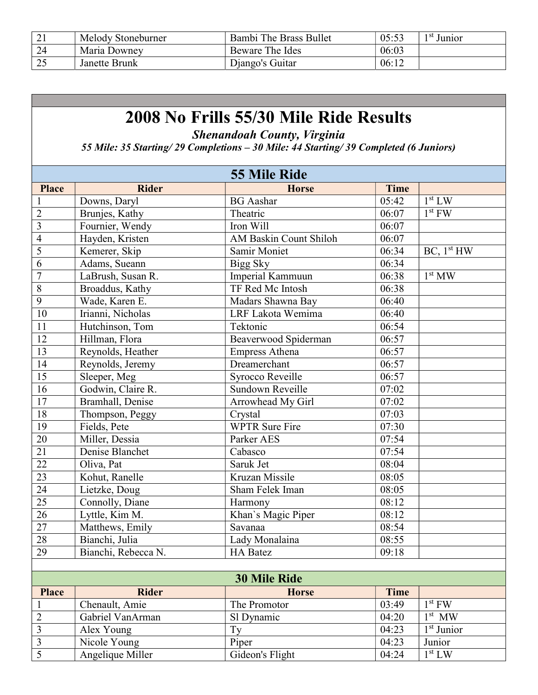| $\angle$ 1       | Melody Stoneburner | Bambi The Brass Bullet | 05:53 | <sup>1 st</sup> Junior |
|------------------|--------------------|------------------------|-------|------------------------|
| 24               | Maria Downey       | Beware The Ides        | 06:03 |                        |
| $\bigcap$<br>ر _ | Janette Brunk      | Diango's Guitar        | 06:12 |                        |

Shenandoah County, Virginia

55 Mile: 35 Starting/ 29 Completions – 30 Mile: 44 Starting/ 39 Completed (6 Juniors)

|                         | <b>55 Mile Ride</b> |                               |             |                        |
|-------------------------|---------------------|-------------------------------|-------------|------------------------|
| <b>Place</b>            | <b>Rider</b>        | <b>Horse</b>                  | <b>Time</b> |                        |
| 1                       | Downs, Daryl        | <b>BG</b> Aashar              | 05:42       | $1st$ LW               |
| $\overline{2}$          | Brunjes, Kathy      | Theatric                      | 06:07       | $1st$ FW               |
| $\overline{\mathbf{3}}$ | Fournier, Wendy     | Iron Will                     | 06:07       |                        |
| $\overline{4}$          | Hayden, Kristen     | <b>AM Baskin Count Shiloh</b> | 06:07       |                        |
| $\overline{5}$          | Kemerer, Skip       | Samir Moniet                  | 06:34       | BC, 1 <sup>st</sup> HW |
| $\overline{6}$          | Adams, Sueann       | Bigg Sky                      | 06:34       |                        |
| $\overline{7}$          | LaBrush, Susan R.   | Imperial Kammuun              | 06:38       | 1 <sup>st</sup> MW     |
| $\overline{8}$          | Broaddus, Kathy     | TF Red Mc Intosh              | 06:38       |                        |
| $\overline{9}$          | Wade, Karen E.      | Madars Shawna Bay             | 06:40       |                        |
| $\overline{10}$         | Irianni, Nicholas   | LRF Lakota Wemima             | 06:40       |                        |
| 11                      | Hutchinson, Tom     | Tektonic                      | 06:54       |                        |
| 12                      | Hillman, Flora      | Beaverwood Spiderman          | 06:57       |                        |
| 13                      | Reynolds, Heather   | <b>Empress Athena</b>         | 06:57       |                        |
| 14                      | Reynolds, Jeremy    | Dreamerchant                  | 06:57       |                        |
| $1\overline{5}$         | Sleeper, Meg        | Syrocco Reveille              | 06:57       |                        |
| 16                      | Godwin, Claire R.   | Sundown Reveille              | 07:02       |                        |
| 17                      | Bramhall, Denise    | Arrowhead My Girl             | 07:02       |                        |
| 18                      | Thompson, Peggy     | Crystal                       | 07:03       |                        |
| 19                      | Fields, Pete        | <b>WPTR</b> Sure Fire         | 07:30       |                        |
| $\overline{20}$         | Miller, Dessia      | Parker AES                    | 07:54       |                        |
| $\overline{21}$         | Denise Blanchet     | Cabasco                       | 07:54       |                        |
| $\overline{22}$         | Oliva, Pat          | Saruk Jet                     | 08:04       |                        |
| $\overline{23}$         | Kohut, Ranelle      | Kruzan Missile                | 08:05       |                        |
| $\overline{24}$         | Lietzke, Doug       | Sham Felek Iman               | 08:05       |                        |
| $\overline{25}$         | Connolly, Diane     | Harmony                       | 08:12       |                        |
| $\overline{26}$         | Lyttle, Kim M.      | Khan's Magic Piper            | 08:12       |                        |
| $\overline{27}$         | Matthews, Emily     | Savanaa                       | 08:54       |                        |
| 28                      | Bianchi, Julia      | Lady Monalaina                | 08:55       |                        |
| 29                      | Bianchi, Rebecca N. | <b>HA</b> Batez               | 09:18       |                        |
|                         |                     |                               |             |                        |
|                         |                     |                               |             |                        |

| <b>30 Mile Ride</b> |                  |                 |       |                        |
|---------------------|------------------|-----------------|-------|------------------------|
| <b>Place</b>        | <b>Rider</b>     | <b>Horse</b>    | Time  |                        |
|                     | Chenault, Amie   | The Promotor    | 03:49 | $1^{\rm st}$ FW        |
|                     | Gabriel VanArman | Sl Dynamic      | 04:20 | $1st$ MW               |
|                     | Alex Young       | Tv              | 04:23 | 1 <sup>st</sup> Junior |
|                     | Nicole Young     | Piper           | 04:23 | Junior                 |
|                     | Angelique Miller | Gideon's Flight | 04:24 | 1 <sup>st</sup> LW     |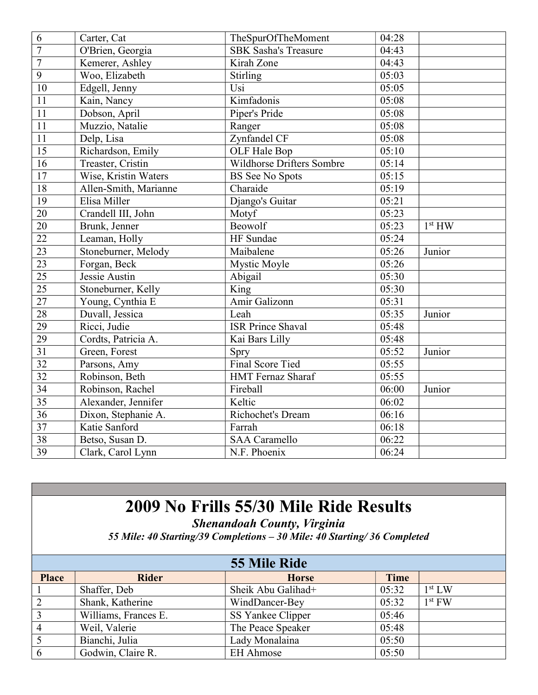| 6               | Carter, Cat           | TheSpurOfTheMoment             | 04:28 |                    |
|-----------------|-----------------------|--------------------------------|-------|--------------------|
| $\overline{7}$  | O'Brien, Georgia      | <b>SBK Sasha's Treasure</b>    | 04:43 |                    |
| $\overline{7}$  | Kemerer, Ashley       | Kirah Zone                     | 04:43 |                    |
| $\overline{9}$  | Woo, Elizabeth        | <b>Stirling</b>                | 05:03 |                    |
| 10              | Edgell, Jenny         | Usi                            | 05:05 |                    |
| 11              | Kain, Nancy           | Kimfadonis                     | 05:08 |                    |
| 11              | Dobson, April         | Piper's Pride                  | 05:08 |                    |
| 11              | Muzzio, Natalie       | Ranger                         | 05:08 |                    |
| 11              | Delp, Lisa            | Zynfandel CF                   | 05:08 |                    |
| 15              | Richardson, Emily     | OLF Hale Bop                   | 05:10 |                    |
| 16              | Treaster, Cristin     | Wildhorse Drifters Sombre      | 05:14 |                    |
| 17              | Wise, Kristin Waters  | <b>BS</b> See No Spots         | 05:15 |                    |
| $\overline{18}$ | Allen-Smith, Marianne | Charaide                       | 05:19 |                    |
| $\overline{19}$ | Elisa Miller          | Django's Guitar                | 05:21 |                    |
| 20              | Crandell III, John    | Motyf                          | 05:23 |                    |
| $\overline{20}$ | Brunk, Jenner         | Beowolf                        | 05:23 | 1 <sup>st</sup> HW |
| $\overline{22}$ | Leaman, Holly         | HF Sundae                      | 05:24 |                    |
| 23              | Stoneburner, Melody   | $\overline{\text{M}}$ aibalene | 05:26 | Junior             |
| $\overline{23}$ | Forgan, Beck          | Mystic Moyle                   | 05:26 |                    |
| $\overline{25}$ | Jessie Austin         | Abigail                        | 05:30 |                    |
| $\overline{25}$ | Stoneburner, Kelly    | King                           | 05:30 |                    |
| $\overline{27}$ | Young, Cynthia E      | Amir Galizonn                  | 05:31 |                    |
| $\overline{28}$ | Duvall, Jessica       | Leah                           | 05:35 | Junior             |
| 29              | Ricci, Judie          | <b>ISR</b> Prince Shaval       | 05:48 |                    |
| $\overline{29}$ | Cordts, Patricia A.   | Kai Bars Lilly                 | 05:48 |                    |
| 31              | Green, Forest         | Spry                           | 05:52 | Junior             |
| $\overline{32}$ | Parsons, Amy          | <b>Final Score Tied</b>        | 05:55 |                    |
| $\overline{32}$ | Robinson, Beth        | HMT Fernaz Sharaf              | 05:55 |                    |
| 34              | Robinson, Rachel      | Fireball                       | 06:00 | Junior             |
| $\overline{35}$ | Alexander, Jennifer   | Keltic                         | 06:02 |                    |
| $\overline{36}$ | Dixon, Stephanie A.   | Richochet's Dream              | 06:16 |                    |
| $\overline{37}$ | Katie Sanford         | Farrah                         | 06:18 |                    |
| 38              | Betso, Susan D.       | <b>SAA</b> Caramello           | 06:22 |                    |
| $\overline{39}$ | Clark, Carol Lynn     | N.F. Phoenix                   | 06:24 |                    |

Shenandoah County, Virginia

55 Mile: 40 Starting/39 Completions – 30 Mile: 40 Starting/ 36 Completed

| <b>55 Mile Ride</b> |                      |                    |             |                    |  |
|---------------------|----------------------|--------------------|-------------|--------------------|--|
| <b>Place</b>        | <b>Rider</b>         | <b>Horse</b>       | <b>Time</b> |                    |  |
|                     | Shaffer, Deb         | Sheik Abu Galihad+ | 05:32       | 1 <sup>st</sup> LW |  |
| C                   | Shank, Katherine     | WindDancer-Bey     | 05:32       | $1st$ FW           |  |
| 3                   | Williams, Frances E. | SS Yankee Clipper  | 05:46       |                    |  |
|                     | Weil, Valerie        | The Peace Speaker  | 05:48       |                    |  |
|                     | Bianchi, Julia       | Lady Monalaina     | 05:50       |                    |  |
| 6                   | Godwin, Claire R.    | <b>EH</b> Ahmose   | 05:50       |                    |  |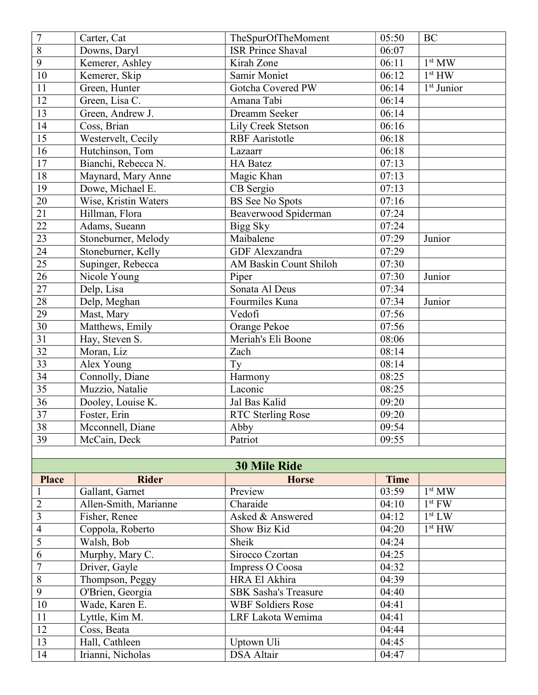| $\overline{7}$          | Carter, Cat           | TheSpurOfTheMoment          | 05:50       | <b>BC</b>                           |
|-------------------------|-----------------------|-----------------------------|-------------|-------------------------------------|
| $\overline{8}$          | Downs, Daryl          | <b>ISR Prince Shaval</b>    | 06:07       |                                     |
| $\overline{9}$          | Kemerer, Ashley       | Kirah Zone                  | 06:11       | 1 <sup>st</sup> MW                  |
| $10\,$                  | Kemerer, Skip         | Samir Moniet                | 06:12       | 1 <sup>st</sup> HW                  |
| 11                      | Green, Hunter         | Gotcha Covered PW           | 06:14       | $\overline{1}$ <sup>st</sup> Junior |
| 12                      | Green, Lisa C.        | Amana Tabi                  | 06:14       |                                     |
| $\overline{13}$         | Green, Andrew J.      | Dreamm Seeker               | 06:14       |                                     |
| 14                      | Coss, Brian           | Lily Creek Stetson          | 06:16       |                                     |
| 15                      | Westervelt, Cecily    | <b>RBF</b> Aaristotle       | 06:18       |                                     |
| 16                      | Hutchinson, Tom       | Lazaarr                     | 06:18       |                                     |
| 17                      | Bianchi, Rebecca N.   | <b>HA Batez</b>             | 07:13       |                                     |
| 18                      | Maynard, Mary Anne    | Magic Khan                  | 07:13       |                                     |
| 19                      | Dowe, Michael E.      | CB Sergio                   | 07:13       |                                     |
| $20\,$                  | Wise, Kristin Waters  | <b>BS</b> See No Spots      | 07:16       |                                     |
| 21                      | Hillman, Flora        | Beaverwood Spiderman        | 07:24       |                                     |
| 22                      | Adams, Sueann         | Bigg Sky                    | 07:24       |                                     |
| $\overline{23}$         | Stoneburner, Melody   | Maibalene                   | 07:29       | Junior                              |
| $\overline{24}$         | Stoneburner, Kelly    | GDF Alexzandra              | 07:29       |                                     |
| 25                      | Supinger, Rebecca     | AM Baskin Count Shiloh      | 07:30       |                                     |
| 26                      | Nicole Young          | Piper                       | 07:30       | Junior                              |
| $27\,$                  | Delp, Lisa            | Sonata Al Deus              | 07:34       |                                     |
| $28\,$                  | Delp, Meghan          | Fourmiles Kuna              | 07:34       | Junior                              |
| 29                      | Mast, Mary            | Vedofi                      | 07:56       |                                     |
| $\overline{30}$         | Matthews, Emily       | Orange Pekoe                | 07:56       |                                     |
| $\overline{31}$         | Hay, Steven S.        | Meriah's Eli Boone          | 08:06       |                                     |
| 32                      | Moran, Liz            | Zach                        | 08:14       |                                     |
| $\overline{33}$         | Alex Young            | Ty                          | 08:14       |                                     |
| 34                      | Connolly, Diane       | Harmony                     | 08:25       |                                     |
| 35                      | Muzzio, Natalie       | Laconic                     | 08:25       |                                     |
| 36                      | Dooley, Louise K.     | Jal Bas Kalid               | 09:20       |                                     |
| $\overline{37}$         | Foster, Erin          | <b>RTC Sterling Rose</b>    | 09:20       |                                     |
| 38                      | Mcconnell, Diane      | Abby                        | 09:54       |                                     |
| 39                      | McCain, Deck          | Patriot                     | 09:55       |                                     |
|                         |                       |                             |             |                                     |
|                         |                       | <b>30 Mile Ride</b>         |             |                                     |
| <b>Place</b>            | <b>Rider</b>          | <b>Horse</b>                | <b>Time</b> |                                     |
| $\mathbf{1}$            | Gallant, Garnet       | Preview                     | 03:59       | $1^{\rm st}\, {\rm MW}$             |
| $\overline{2}$          | Allen-Smith, Marianne | Charaide                    | 04:10       | $1st$ FW                            |
| $\overline{\mathbf{3}}$ | Fisher, Renee         | Asked & Answered            | 04:12       | 1 <sup>st</sup> LW                  |
| $\overline{4}$          | Coppola, Roberto      | Show Biz Kid                | 04:20       | 1 <sup>st</sup> HW                  |
| 5                       | Walsh, Bob            | Sheik                       | 04:24       |                                     |
| $\overline{6}$          | Murphy, Mary C.       | Sirocco Czortan             | 04:25       |                                     |
| $\overline{7}$          | Driver, Gayle         | Impress O Coosa             | 04:32       |                                     |
| $\overline{8}$          | Thompson, Peggy       | HRA El Akhira               | 04:39       |                                     |
| 9                       | O'Brien, Georgia      | <b>SBK Sasha's Treasure</b> | 04:40       |                                     |
| $10\,$                  | Wade, Karen E.        | <b>WBF Soldiers Rose</b>    | 04:41       |                                     |
| $\overline{11}$         | Lyttle, Kim M.        | LRF Lakota Wemima           | 04:41       |                                     |
| 12                      | Coss, Beata           |                             | 04:44       |                                     |
| 13                      | Hall, Cathleen        | Uptown Uli                  | 04:45       |                                     |
| 14                      | Irianni, Nicholas     | <b>DSA</b> Altair           | 04:47       |                                     |

Irianni, Nicholas DSA Altair 104:47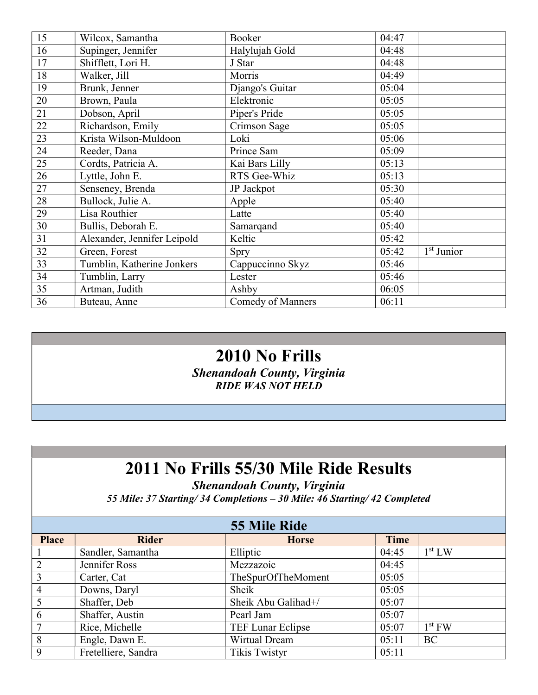| 15 | Wilcox, Samantha            | Booker                   | 04:47 |                        |
|----|-----------------------------|--------------------------|-------|------------------------|
| 16 | Supinger, Jennifer          | Halylujah Gold           | 04:48 |                        |
| 17 | Shifflett, Lori H.          | J Star                   | 04:48 |                        |
| 18 | Walker, Jill                | Morris                   | 04:49 |                        |
| 19 | Brunk, Jenner               | Django's Guitar          | 05:04 |                        |
| 20 | Brown, Paula                | Elektronic               | 05:05 |                        |
| 21 | Dobson, April               | Piper's Pride            | 05:05 |                        |
| 22 | Richardson, Emily           | Crimson Sage             | 05:05 |                        |
| 23 | Krista Wilson-Muldoon       | Loki                     | 05:06 |                        |
| 24 | Reeder, Dana                | Prince Sam               | 05:09 |                        |
| 25 | Cordts, Patricia A.         | Kai Bars Lilly           | 05:13 |                        |
| 26 | Lyttle, John E.             | RTS Gee-Whiz             | 05:13 |                        |
| 27 | Senseney, Brenda            | JP Jackpot               | 05:30 |                        |
| 28 | Bullock, Julie A.           | Apple                    | 05:40 |                        |
| 29 | Lisa Routhier               | Latte                    | 05:40 |                        |
| 30 | Bullis, Deborah E.          | Samarqand                | 05:40 |                        |
| 31 | Alexander, Jennifer Leipold | Keltic                   | 05:42 |                        |
| 32 | Green, Forest               | Spry                     | 05:42 | 1 <sup>st</sup> Junior |
| 33 | Tumblin, Katherine Jonkers  | Cappuccinno Skyz         | 05:46 |                        |
| 34 | Tumblin, Larry              | Lester                   | 05:46 |                        |
| 35 | Artman, Judith              | Ashby                    | 06:05 |                        |
| 36 | Buteau, Anne                | <b>Comedy of Manners</b> | 06:11 |                        |

#### 2010 No Frills

Shenandoah County, Virginia RIDE WAS NOT HELD

### 2011 No Frills 55/30 Mile Ride Results

Shenandoah County, Virginia

55 Mile: 37 Starting/ 34 Completions – 30 Mile: 46 Starting/ 42 Completed

| 55 Mile Ride   |                     |                          |             |                    |
|----------------|---------------------|--------------------------|-------------|--------------------|
| <b>Place</b>   | <b>Rider</b>        | <b>Horse</b>             | <b>Time</b> |                    |
|                | Sandler, Samantha   | Elliptic                 | 04:45       | 1 <sup>st</sup> LW |
| 2              | Jennifer Ross       | Mezzazoic                | 04:45       |                    |
| $\overline{3}$ | Carter, Cat         | TheSpurOfTheMoment       | 05:05       |                    |
| $\overline{4}$ | Downs, Daryl        | Sheik                    | 05:05       |                    |
| 5              | Shaffer, Deb        | Sheik Abu Galihad+/      | 05:07       |                    |
| 6              | Shaffer, Austin     | Pearl Jam                | 05:07       |                    |
| $\tau$         | Rice, Michelle      | <b>TEF Lunar Eclipse</b> | 05:07       | $1st$ FW           |
| 8              | Engle, Dawn E.      | Wirtual Dream            | 05:11       | BC                 |
| 9              | Fretelliere, Sandra | <b>Tikis Twistyr</b>     | 05:11       |                    |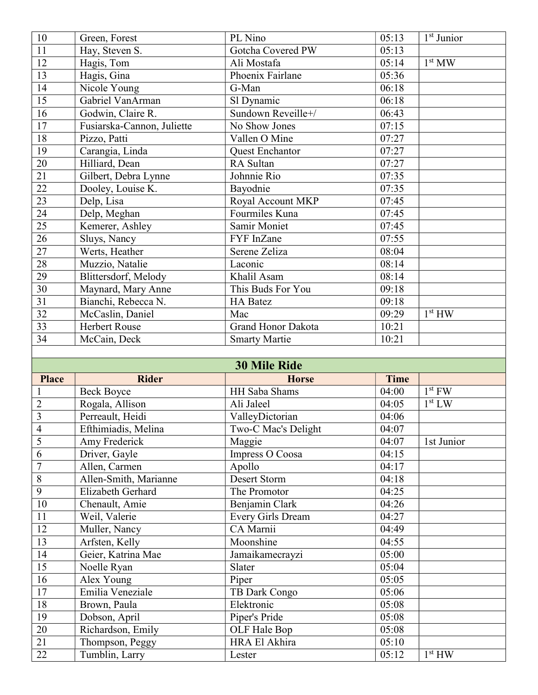| 10              | Green, Forest              | PL Nino                   | 05:13       | $1st$ Junior       |
|-----------------|----------------------------|---------------------------|-------------|--------------------|
| $\overline{11}$ | Hay, Steven S.             | Gotcha Covered PW         | 05:13       |                    |
| 12              | Hagis, Tom                 | Ali Mostafa               | 05:14       | 1 <sup>st</sup> MW |
| 13              | Hagis, Gina                | Phoenix Fairlane          | 05:36       |                    |
| 14              | Nicole Young               | G-Man                     | 06:18       |                    |
| 15              | Gabriel VanArman           | Sl Dynamic                | 06:18       |                    |
| 16              | Godwin, Claire R.          | Sundown Reveille+/        | 06:43       |                    |
| $\overline{17}$ | Fusiarska-Cannon, Juliette | No Show Jones             | 07:15       |                    |
| 18              | Pizzo, Patti               | Vallen O Mine             | 07:27       |                    |
| 19              | Carangia, Linda            | Quest Enchantor           | 07:27       |                    |
| 20              | Hilliard, Dean             | RA Sultan                 | 07:27       |                    |
| $\overline{21}$ | Gilbert, Debra Lynne       | Johnnie Rio               | 07:35       |                    |
| $\overline{22}$ | Dooley, Louise K.          | Bayodnie                  | 07:35       |                    |
| $\overline{23}$ | Delp, Lisa                 | Royal Account MKP         | 07:45       |                    |
| $\overline{24}$ | Delp, Meghan               | Fourmiles Kuna            | 07:45       |                    |
| $\overline{25}$ | Kemerer, Ashley            | Samir Moniet              | 07:45       |                    |
| $\overline{26}$ | Sluys, Nancy               | FYF InZane                | 07:55       |                    |
| $\overline{27}$ | Werts, Heather             | Serene Zeliza             | 08:04       |                    |
| 28              | Muzzio, Natalie            | Laconic                   | 08:14       |                    |
| 29              | Blittersdorf, Melody       | Khalil Asam               | 08:14       |                    |
| 30              | Maynard, Mary Anne         | This Buds For You         | 09:18       |                    |
| 31              | Bianchi, Rebecca N.        | <b>HA Batez</b>           | 09:18       |                    |
| $\overline{32}$ | McCaslin, Daniel           | Mac                       | 09:29       | 1 <sup>st</sup> HW |
| $\overline{33}$ | Herbert Rouse              | <b>Grand Honor Dakota</b> | 10:21       |                    |
| 34              | McCain, Deck               | <b>Smarty Martie</b>      | 10:21       |                    |
|                 |                            |                           |             |                    |
|                 |                            | <b>30 Mile Ride</b>       |             |                    |
| <b>Place</b>    | <b>Rider</b>               | <b>Horse</b>              | <b>Time</b> |                    |
| $\mathbf{1}$    | <b>Beck Boyce</b>          | <b>HH Saba Shams</b>      | 04:00       | $1st$ FW           |
| $\overline{2}$  | Rogala, Allison            | Ali Jaleel                | 04:05       | $1^{\rm st}$ LW    |
| $\overline{3}$  | Perreault, Heidi           | ValleyDictorian           | 04:06       |                    |
| $\overline{4}$  | Efthimiadis, Melina        | Two-C Mac's Delight       | 04:07       |                    |
| 5               | Amy Frederick              | Maggie                    | 04:07       | 1st Junior         |
| 6               | Driver, Gayle              | Impress O Coosa           | 04:15       |                    |
| $\overline{7}$  | Allen, Carmen              | Apollo                    | 04:17       |                    |
| $\, 8$          | Allen-Smith, Marianne      | Desert Storm              | 04:18       |                    |
| $\overline{9}$  | Elizabeth Gerhard          | The Promotor              | 04:25       |                    |
| $10\,$          | Chenault, Amie             | Benjamin Clark            | 04:26       |                    |
| 11              | Weil, Valerie              | <b>Every Girls Dream</b>  | 04:27       |                    |

| $\overline{9}$  | Elizabeth Gerhard  | The Promotor             | 04:25 |                    |
|-----------------|--------------------|--------------------------|-------|--------------------|
| 10              | Chenault, Amie     | Benjamin Clark           | 04:26 |                    |
| 11              | Weil, Valerie      | <b>Every Girls Dream</b> | 04:27 |                    |
| $\overline{12}$ | Muller, Nancy      | CA Marnii                | 04:49 |                    |
| 13              | Arfsten, Kelly     | Moonshine                | 04:55 |                    |
|                 | Geier, Katrina Mae | Jamaikamecrayzi          | 05:00 |                    |
| $\frac{14}{15}$ | Noelle Ryan        | Slater                   | 05:04 |                    |
| 16              | Alex Young         | Piper                    | 05:05 |                    |
| 17              | Emilia Veneziale   | TB Dark Congo            | 05:06 |                    |
| 18              | Brown, Paula       | Elektronic               | 05:08 |                    |
| $\overline{19}$ | Dobson, April      | Piper's Pride            | 05:08 |                    |
| 20              | Richardson, Emily  | OLF Hale Bop             | 05:08 |                    |
| 21              | Thompson, Peggy    | HRA El Akhira            | 05:10 |                    |
| $\overline{22}$ | Tumblin, Larry     | Lester                   | 05:12 | 1 <sup>st</sup> HW |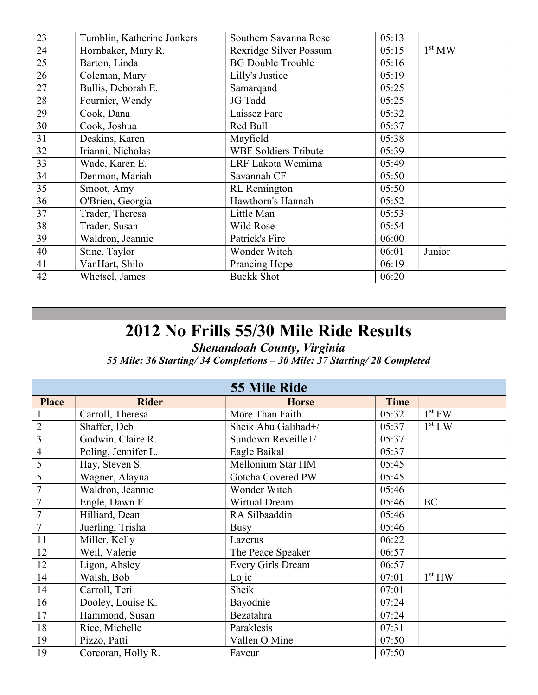| 23 | Tumblin, Katherine Jonkers | Southern Savanna Rose       | 05:13 |                    |
|----|----------------------------|-----------------------------|-------|--------------------|
| 24 | Hornbaker, Mary R.         | Rexridge Silver Possum      | 05:15 | 1 <sup>st</sup> MW |
| 25 | Barton, Linda              | <b>BG Double Trouble</b>    | 05:16 |                    |
| 26 | Coleman, Mary              | Lilly's Justice             | 05:19 |                    |
| 27 | Bullis, Deborah E.         | Samarqand                   | 05:25 |                    |
| 28 | Fournier, Wendy            | JG Tadd                     | 05:25 |                    |
| 29 | Cook, Dana                 | Laissez Fare                | 05:32 |                    |
| 30 | Cook, Joshua               | Red Bull                    | 05:37 |                    |
| 31 | Deskins, Karen             | Mayfield                    | 05:38 |                    |
| 32 | Irianni, Nicholas          | <b>WBF Soldiers Tribute</b> | 05:39 |                    |
| 33 | Wade, Karen E.             | LRF Lakota Wemima           | 05:49 |                    |
| 34 | Denmon, Mariah             | Savannah CF                 | 05:50 |                    |
| 35 | Smoot, Amy                 | <b>RL</b> Remington         | 05:50 |                    |
| 36 | O'Brien, Georgia           | Hawthorn's Hannah           | 05:52 |                    |
| 37 | Trader, Theresa            | Little Man                  | 05:53 |                    |
| 38 | Trader, Susan              | Wild Rose                   | 05:54 |                    |
| 39 | Waldron, Jeannie           | Patrick's Fire              | 06:00 |                    |
| 40 | Stine, Taylor              | Wonder Witch                | 06:01 | Junior             |
| 41 | VanHart, Shilo             | Prancing Hope               | 06:19 |                    |
| 42 | Whetsel, James             | <b>Buckk Shot</b>           | 06:20 |                    |

Shenandoah County, Virginia

55 Mile: 36 Starting/ 34 Completions – 30 Mile: 37 Starting/ 28 Completed

|                | <b>55 Mile Ride</b> |                     |             |                    |  |
|----------------|---------------------|---------------------|-------------|--------------------|--|
| <b>Place</b>   | <b>Rider</b>        | <b>Horse</b>        | <b>Time</b> |                    |  |
|                | Carroll, Theresa    | More Than Faith     | 05:32       | $1st$ FW           |  |
| $\overline{2}$ | Shaffer, Deb        | Sheik Abu Galihad+/ | 05:37       | 1 <sup>st</sup> LW |  |
| $\overline{3}$ | Godwin, Claire R.   | Sundown Reveille+/  | 05:37       |                    |  |
| 4              | Poling, Jennifer L. | Eagle Baikal        | 05:37       |                    |  |
| 5              | Hay, Steven S.      | Mellonium Star HM   | 05:45       |                    |  |
| 5              | Wagner, Alayna      | Gotcha Covered PW   | 05:45       |                    |  |
| $\overline{7}$ | Waldron, Jeannie    | Wonder Witch        | 05:46       |                    |  |
| $\overline{7}$ | Engle, Dawn E.      | Wirtual Dream       | 05:46       | BC                 |  |
| $\overline{7}$ | Hilliard, Dean      | RA Silbaaddin       | 05:46       |                    |  |
| 7              | Juerling, Trisha    | <b>Busy</b>         | 05:46       |                    |  |
| 11             | Miller, Kelly       | Lazerus             | 06:22       |                    |  |
| 12             | Weil, Valerie       | The Peace Speaker   | 06:57       |                    |  |
| 12             | Ligon, Ahsley       | Every Girls Dream   | 06:57       |                    |  |
| 14             | Walsh, Bob          | Lojic               | 07:01       | 1 <sup>st</sup> HW |  |
| 14             | Carroll, Teri       | Sheik               | 07:01       |                    |  |
| 16             | Dooley, Louise K.   | Bayodnie            | 07:24       |                    |  |
| 17             | Hammond, Susan      | Bezatahra           | 07:24       |                    |  |
| 18             | Rice, Michelle      | Paraklesis          | 07:31       |                    |  |
| 19             | Pizzo, Patti        | Vallen O Mine       | 07:50       |                    |  |
| 19             | Corcoran, Holly R.  | Faveur              | 07:50       |                    |  |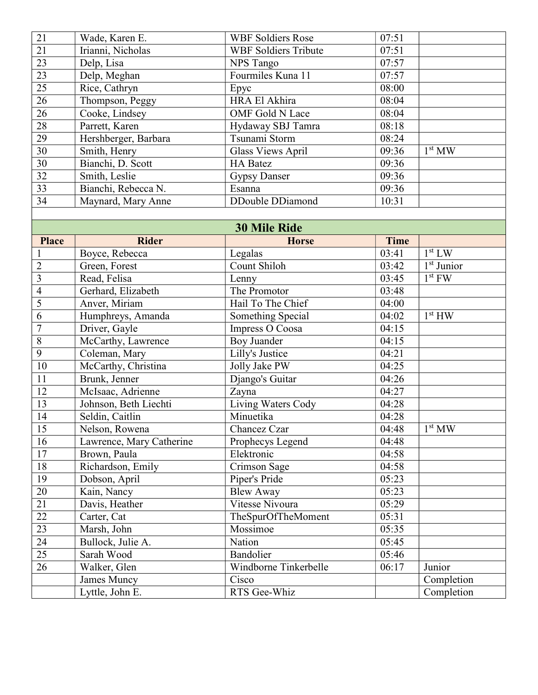| 21 | Wade, Karen E.       | <b>WBF Soldiers Rose</b>    | 07:51 |                    |
|----|----------------------|-----------------------------|-------|--------------------|
| 21 | Irianni, Nicholas    | <b>WBF Soldiers Tribute</b> | 07:51 |                    |
| 23 | Delp, Lisa           | NPS Tango                   | 07:57 |                    |
| 23 | Delp, Meghan         | Fourmiles Kuna 11           | 07:57 |                    |
| 25 | Rice, Cathryn        | Epyc                        | 08:00 |                    |
| 26 | Thompson, Peggy      | HRA El Akhira               | 08:04 |                    |
| 26 | Cooke, Lindsey       | OMF Gold N Lace             | 08:04 |                    |
| 28 | Parrett, Karen       | Hydaway SBJ Tamra           | 08:18 |                    |
| 29 | Hershberger, Barbara | Tsunami Storm               | 08:24 |                    |
| 30 | Smith, Henry         | Glass Views April           | 09:36 | 1 <sup>st</sup> MW |
| 30 | Bianchi, D. Scott    | <b>HA Batez</b>             | 09:36 |                    |
| 32 | Smith, Leslie        | <b>Gypsy Danser</b>         | 09:36 |                    |
| 33 | Bianchi, Rebecca N.  | Esanna                      | 09:36 |                    |
| 34 | Maynard, Mary Anne   | DDouble DDiamond            | 10:31 |                    |

| <b>30 Mile Ride</b>     |                          |                       |       |                    |
|-------------------------|--------------------------|-----------------------|-------|--------------------|
| <b>Place</b>            | <b>Rider</b>             | <b>Horse</b>          | Time  |                    |
| $\mathbf{1}$            | Boyce, Rebecca           | Legalas               | 03:41 | 1 <sup>st</sup> LW |
| $\overline{2}$          | Green, Forest            | Count Shiloh          | 03:42 | $1st$ Junior       |
| $\overline{\mathbf{3}}$ | Read, Felisa             | Lenny                 | 03:45 | $1st$ FW           |
| $\overline{4}$          | Gerhard, Elizabeth       | The Promotor          | 03:48 |                    |
| 5                       | Anver, Miriam            | Hail To The Chief     | 04:00 |                    |
| $\overline{6}$          | Humphreys, Amanda        | Something Special     | 04:02 | 1 <sup>st</sup> HW |
| $\overline{7}$          | Driver, Gayle            | Impress O Coosa       | 04:15 |                    |
| $\sqrt{8}$              | McCarthy, Lawrence       | <b>Boy Juander</b>    | 04:15 |                    |
| $\overline{9}$          | Coleman, Mary            | Lilly's Justice       | 04:21 |                    |
| 10                      | McCarthy, Christina      | Jolly Jake PW         | 04:25 |                    |
| 11                      | Brunk, Jenner            | Django's Guitar       | 04:26 |                    |
| $\overline{12}$         | McIsaac, Adrienne        | Zayna                 | 04:27 |                    |
| 13                      | Johnson, Beth Liechti    | Living Waters Cody    | 04:28 |                    |
| 14                      | Seldin, Caitlin          | Minuetika             | 04:28 |                    |
| 15                      | Nelson, Rowena           | Chancez Czar          | 04:48 | 1 <sup>st</sup> MW |
| 16                      | Lawrence, Mary Catherine | Prophecys Legend      | 04:48 |                    |
| $17$                    | Brown, Paula             | Elektronic            | 04:58 |                    |
| $18\,$                  | Richardson, Emily        | Crimson Sage          | 04:58 |                    |
| 19                      | Dobson, April            | Piper's Pride         | 05:23 |                    |
| 20                      | Kain, Nancy              | <b>Blew Away</b>      | 05:23 |                    |
| $\overline{21}$         | Davis, Heather           | Vitesse Nivoura       | 05:29 |                    |
| 22                      | Carter, Cat              | TheSpurOfTheMoment    | 05:31 |                    |
| $\overline{23}$         | Marsh, John              | Mossimoe              | 05:35 |                    |
| $\overline{24}$         | Bullock, Julie A.        | Nation                | 05:45 |                    |
| $\overline{25}$         | Sarah Wood               | Bandolier             | 05:46 |                    |
| 26                      | Walker, Glen             | Windborne Tinkerbelle | 06:17 | Junior             |
|                         | James Muncy              | Cisco                 |       | Completion         |
|                         | Lyttle, John E.          | RTS Gee-Whiz          |       | Completion         |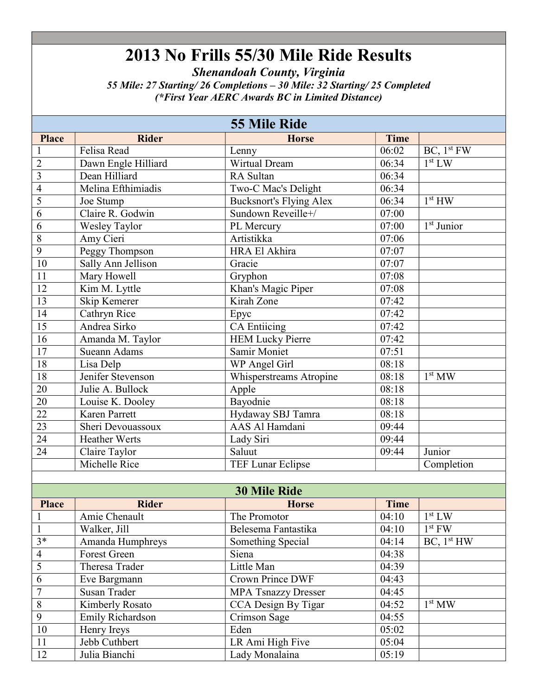Shenandoah County, Virginia

55 Mile: 27 Starting/ 26 Completions – 30 Mile: 32 Starting/ 25 Completed (\*First Year AERC Awards BC in Limited Distance)

|                 | <b>55 Mile Ride</b>  |                                |                    |                        |  |
|-----------------|----------------------|--------------------------------|--------------------|------------------------|--|
| <b>Place</b>    | <b>Rider</b>         | <b>Horse</b>                   | <b>Time</b>        |                        |  |
| 1               | Felisa Read          | Lenny                          | 06:02              | BC, 1 <sup>st</sup> FW |  |
| $\overline{2}$  | Dawn Engle Hilliard  | Wirtual Dream                  | 06:34              | 1 <sup>st</sup> LW     |  |
| $\overline{3}$  | Dean Hilliard        | RA Sultan                      | 06:34              |                        |  |
| $\overline{4}$  | Melina Efthimiadis   | Two-C Mac's Delight            | 06:34              |                        |  |
| 5               | Joe Stump            | <b>Bucksnort's Flying Alex</b> | 06:34              | 1 <sup>st</sup> HW     |  |
| 6               | Claire R. Godwin     | Sundown Reveille+/             | 07:00              |                        |  |
| 6               | <b>Wesley Taylor</b> | PL Mercury                     | 07:00              | $1st$ Junior           |  |
| $\,8\,$         | Amy Cieri            | Artistikka                     | 07:06              |                        |  |
| $\overline{9}$  | Peggy Thompson       | HRA El Akhira                  | 07:07              |                        |  |
| 10              | Sally Ann Jellison   | Gracie                         | 07:07              |                        |  |
| 11              | Mary Howell          | Gryphon                        | 07:08              |                        |  |
| 12              | Kim M. Lyttle        | Khan's Magic Piper             | 07:08              |                        |  |
| 13              | Skip Kemerer         | Kirah Zone                     | 07:42              |                        |  |
| 14              | Cathryn Rice         | Epyc                           | 07:42              |                        |  |
| 15              | Andrea Sirko         | <b>CA Entiicing</b>            | 07:42              |                        |  |
| 16              | Amanda M. Taylor     | <b>HEM Lucky Pierre</b>        | $\overline{07:42}$ |                        |  |
| 17              | <b>Sueann Adams</b>  | Samir Moniet                   | 07:51              |                        |  |
| 18              | Lisa Delp            | WP Angel Girl                  | 08:18              |                        |  |
| 18              | Jenifer Stevenson    | Whisperstreams Atropine        | 08:18              | 1 <sup>st</sup> MW     |  |
| $20\,$          | Julie A. Bullock     | Apple                          | 08:18              |                        |  |
| 20              | Louise K. Dooley     | Bayodnie                       | 08:18              |                        |  |
| $\overline{22}$ | Karen Parrett        | Hydaway SBJ Tamra              | 08:18              |                        |  |
| $\overline{23}$ | Sheri Devouassoux    | AAS Al Hamdani                 | 09:44              |                        |  |
| $\overline{24}$ | <b>Heather Werts</b> | Lady Siri                      | 09:44              |                        |  |
| 24              | Claire Taylor        | Saluut                         | 09:44              | Junior                 |  |
|                 | Michelle Rice        | TEF Lunar Eclipse              |                    | Completion             |  |

| <b>30 Mile Ride</b> |                     |                            |             |                        |  |
|---------------------|---------------------|----------------------------|-------------|------------------------|--|
| <b>Place</b>        | <b>Rider</b>        | <b>Horse</b>               | <b>Time</b> |                        |  |
|                     | Amie Chenault       | The Promotor               | 04:10       | 1 <sup>st</sup> LW     |  |
|                     | Walker, Jill        | Belesema Fantastika        | 04:10       | $1st$ FW               |  |
| $3*$                | Amanda Humphreys    | Something Special          | 04:14       | BC, 1 <sup>st</sup> HW |  |
| $\overline{4}$      | <b>Forest Green</b> | Siena                      | 04:38       |                        |  |
| 5                   | Theresa Trader      | Little Man                 | 04:39       |                        |  |
| 6                   | Eve Bargmann        | <b>Crown Prince DWF</b>    | 04:43       |                        |  |
| 7                   | Susan Trader        | <b>MPA Tsnazzy Dresser</b> | 04:45       |                        |  |
| 8                   | Kimberly Rosato     | CCA Design By Tigar        | 04:52       | 1 <sup>st</sup> MW     |  |
| 9                   | Emily Richardson    | Crimson Sage               | 04:55       |                        |  |
| 10                  | Henry Ireys         | Eden                       | 05:02       |                        |  |
| 11                  | Jebb Cuthbert       | LR Ami High Five           | 05:04       |                        |  |
| 12                  | Julia Bianchi       | Lady Monalaina             | 05:19       |                        |  |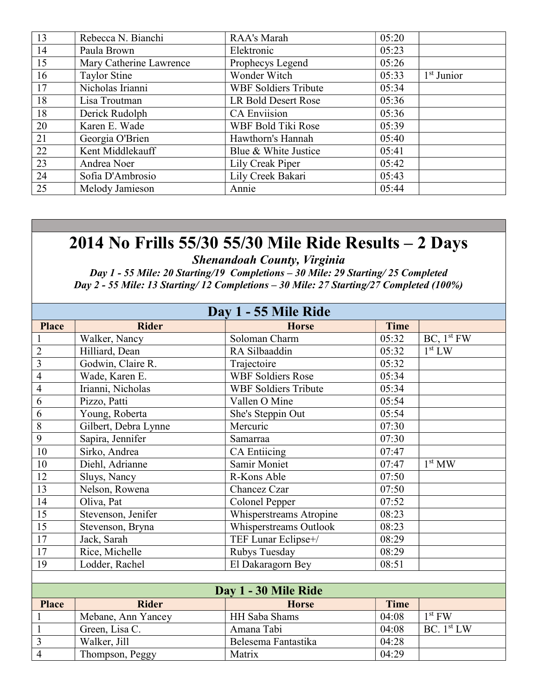| 13 | Rebecca N. Bianchi      | RAA's Marah                 | 05:20 |              |
|----|-------------------------|-----------------------------|-------|--------------|
| 14 | Paula Brown             | Elektronic                  | 05:23 |              |
| 15 | Mary Catherine Lawrence | Prophecys Legend            | 05:26 |              |
| 16 | Taylor Stine            | Wonder Witch                | 05:33 | $1st$ Junior |
| 17 | Nicholas Irianni        | <b>WBF Soldiers Tribute</b> | 05:34 |              |
| 18 | Lisa Troutman           | LR Bold Desert Rose         | 05:36 |              |
| 18 | Derick Rudolph          | <b>CA Enviision</b>         | 05:36 |              |
| 20 | Karen E. Wade           | WBF Bold Tiki Rose          | 05:39 |              |
| 21 | Georgia O'Brien         | Hawthorn's Hannah           | 05:40 |              |
| 22 | Kent Middlekauff        | Blue & White Justice        | 05:41 |              |
| 23 | Andrea Noer             | Lily Creak Piper            | 05:42 |              |
| 24 | Sofia D'Ambrosio        | Lily Creek Bakari           | 05:43 |              |
| 25 | Melody Jamieson         | Annie                       | 05:44 |              |

Shenandoah County, Virginia

Day 1 - 55 Mile: 20 Starting/19 Completions – 30 Mile: 29 Starting/ 25 Completed Day 2 - 55 Mile: 13 Starting/ 12 Completions – 30 Mile: 27 Starting/27 Completed (100%)

| Day 1 - 55 Mile Ride |                      |                             |             |                        |  |
|----------------------|----------------------|-----------------------------|-------------|------------------------|--|
| <b>Place</b>         | <b>Rider</b>         | <b>Horse</b>                | <b>Time</b> |                        |  |
| 1                    | Walker, Nancy        | Soloman Charm               | 05:32       | BC, 1 <sup>st</sup> FW |  |
| $\overline{2}$       | Hilliard, Dean       | RA Silbaaddin               | 05:32       | 1 <sup>st</sup> LW     |  |
| $\overline{3}$       | Godwin, Claire R.    | Trajectoire                 | 05:32       |                        |  |
| $\overline{4}$       | Wade, Karen E.       | <b>WBF Soldiers Rose</b>    | 05:34       |                        |  |
| $\overline{4}$       | Irianni, Nicholas    | <b>WBF Soldiers Tribute</b> | 05:34       |                        |  |
| 6                    | Pizzo, Patti         | Vallen O Mine               | 05:54       |                        |  |
| 6                    | Young, Roberta       | She's Steppin Out           | 05:54       |                        |  |
| 8                    | Gilbert, Debra Lynne | Mercuric                    | 07:30       |                        |  |
| 9                    | Sapira, Jennifer     | Samarraa                    | 07:30       |                        |  |
| 10                   | Sirko, Andrea        | <b>CA Entiicing</b>         | 07:47       |                        |  |
| 10                   | Diehl, Adrianne      | Samir Moniet                | 07:47       | 1 <sup>st</sup> MW     |  |
| 12                   | Sluys, Nancy         | R-Kons Able                 | 07:50       |                        |  |
| 13                   | Nelson, Rowena       | Chancez Czar                | 07:50       |                        |  |
| 14                   | Oliva, Pat           | Colonel Pepper              | 07:52       |                        |  |
| 15                   | Stevenson, Jenifer   | Whisperstreams Atropine     | 08:23       |                        |  |
| 15                   | Stevenson, Bryna     | Whisperstreams Outlook      | 08:23       |                        |  |
| 17                   | Jack, Sarah          | TEF Lunar Eclipse+/         | 08:29       |                        |  |
| 17                   | Rice, Michelle       | Rubys Tuesday               | 08:29       |                        |  |
| 19                   | Lodder, Rachel       | El Dakaragorn Bey           | 08:51       |                        |  |
|                      |                      |                             |             |                        |  |
|                      |                      | Day 1 - 30 Mile Ride        |             |                        |  |
| <b>Place</b>         | <b>Rider</b>         | <b>Horse</b>                | <b>Time</b> |                        |  |
| $\mathbf{1}$         | Mebane, Ann Yancey   | HH Saba Shams               | 04:08       | $1st$ FW               |  |

1 Green, Lisa C. Amana Tabi 04:08 BC. 1st LW

3 Walker, Jill Belesema Fantastika 04:28<br>4 Thompson, Peggy Matrix 04:29

Thompson, Peggy Matrix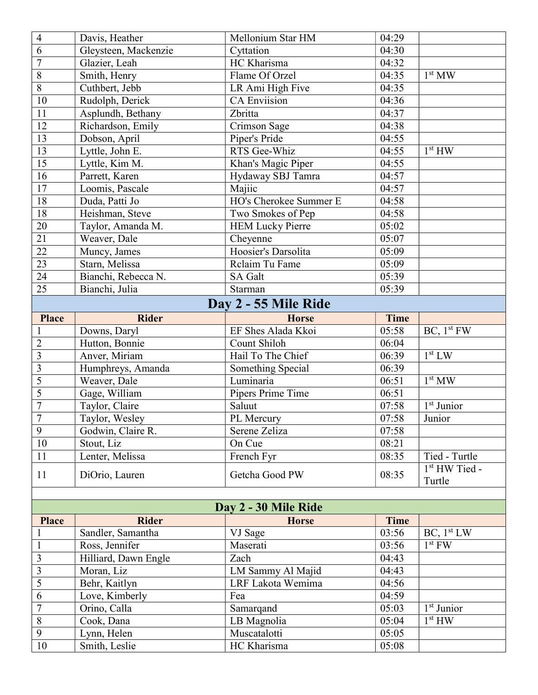| $\overline{4}$          | Davis, Heather             | Mellonium Star HM           | 04:29          |                        |  |
|-------------------------|----------------------------|-----------------------------|----------------|------------------------|--|
| 6                       | Gleysteen, Mackenzie       | Cyttation                   | 04:30          |                        |  |
| $\overline{7}$          | Glazier, Leah              | HC Kharisma                 | 04:32          |                        |  |
| 8                       | Smith, Henry               | Flame Of Orzel              | 04:35          | 1 <sup>st</sup> MW     |  |
| $\overline{8}$          | Cuthbert, Jebb             | LR Ami High Five            | 04:35          |                        |  |
| 10                      | Rudolph, Derick            | <b>CA Enviision</b>         | 04:36          |                        |  |
| 11                      | Asplundh, Bethany          | Zbritta                     | 04:37          |                        |  |
| $\overline{12}$         | Richardson, Emily          | Crimson Sage                | 04:38          |                        |  |
| $\overline{13}$         | Dobson, April              | Piper's Pride               | 04:55          |                        |  |
| 13                      | Lyttle, John E.            | RTS Gee-Whiz                | 04:55          | 1 <sup>st</sup> HW     |  |
| 15                      | Lyttle, Kim M.             | Khan's Magic Piper          | 04:55          |                        |  |
| 16                      | Parrett, Karen             | Hydaway SBJ Tamra           | 04:57          |                        |  |
| 17                      | Loomis, Pascale            | Majiic                      | 04:57          |                        |  |
| 18                      | Duda, Patti Jo             | HO's Cherokee Summer E      | 04:58          |                        |  |
| 18                      | Heishman, Steve            | Two Smokes of Pep           | 04:58          |                        |  |
| 20                      | Taylor, Amanda M.          | <b>HEM Lucky Pierre</b>     | 05:02          |                        |  |
| $\overline{21}$         | Weaver, Dale               | Cheyenne                    | 05:07          |                        |  |
| $\overline{22}$         | Muncy, James               | Hoosier's Darsolita         | 05:09          |                        |  |
| $\overline{23}$         | Starn, Melissa             | Relaim Tu Fame              | 05:09          |                        |  |
| 24                      | Bianchi, Rebecca N.        | <b>SA Galt</b>              | 05:39          |                        |  |
| 25                      | Bianchi, Julia             | Starman                     | 05:39          |                        |  |
|                         |                            | Day 2 - 55 Mile Ride        |                |                        |  |
| <b>Place</b>            | <b>Rider</b>               | <b>Horse</b>                | <b>Time</b>    |                        |  |
| $\mathbf{1}$            | Downs, Daryl               | EF Shes Alada Kkoi          | 05:58          | BC, 1 <sup>st</sup> FW |  |
| $\overline{2}$          | Hutton, Bonnie             | Count Shiloh                | 06:04          |                        |  |
| $\overline{3}$          | Anver, Miriam              | Hail To The Chief           | 06:39          | 1 <sup>st</sup> LW     |  |
| $\overline{3}$          | Humphreys, Amanda          | Something Special           | 06:39          |                        |  |
| $\overline{5}$          | Weaver, Dale               | Luminaria                   | 06:51          | 1 <sup>st</sup> MW     |  |
| $\overline{5}$          | Gage, William              | Pipers Prime Time           | 06:51          |                        |  |
| $\overline{7}$          | Taylor, Claire             | Saluut                      | 07:58          | $1st$ Junior           |  |
| $\overline{7}$          | Taylor, Wesley             | PL Mercury                  | 07:58          | Junior                 |  |
| 9                       | Godwin, Claire R.          | Serene Zeliza               | 07:58          |                        |  |
| 10                      | Stout, Liz                 | On Cue                      | 08:21          |                        |  |
| 11                      | Lenter, Melissa            | French Fyr                  | 08:35          | Tied - Turtle          |  |
| 11                      | DiOrio, Lauren             | Getcha Good PW              | 08:35          | 1st HW Tied -          |  |
|                         |                            |                             |                | Turtle                 |  |
|                         |                            |                             |                |                        |  |
|                         |                            | Day 2 - 30 Mile Ride        |                |                        |  |
| <b>Place</b>            | <b>Rider</b>               | <b>Horse</b>                | <b>Time</b>    |                        |  |
| $\mathbf{1}$            | Sandler, Samantha          | VJ Sage                     | 03:56          | BC, 1 <sup>st</sup> LW |  |
| $\mathbf{1}$            | Ross, Jennifer             | Maserati                    | 03:56          | $1st$ FW               |  |
| $\overline{3}$          | Hilliard, Dawn Engle       | Zach                        | 04:43          |                        |  |
| $\overline{\mathbf{3}}$ | Moran, Liz                 | LM Sammy Al Majid           | 04:43          |                        |  |
| $\overline{5}$<br>6     | Behr, Kaitlyn              | LRF Lakota Wemima           | 04:56          |                        |  |
| $\overline{7}$          | Love, Kimberly             | Fea                         | 04:59          | $1st$ Junior           |  |
| $\overline{8}$          | Orino, Calla<br>Cook, Dana | Samarqand                   | 05:03<br>05:04 | 1 <sup>st</sup> HW     |  |
| $\overline{9}$          | Lynn, Helen                | LB Magnolia<br>Muscatalotti | 05:05          |                        |  |
| 10                      | Smith, Leslie              | HC Kharisma                 | 05:08          |                        |  |
|                         |                            |                             |                |                        |  |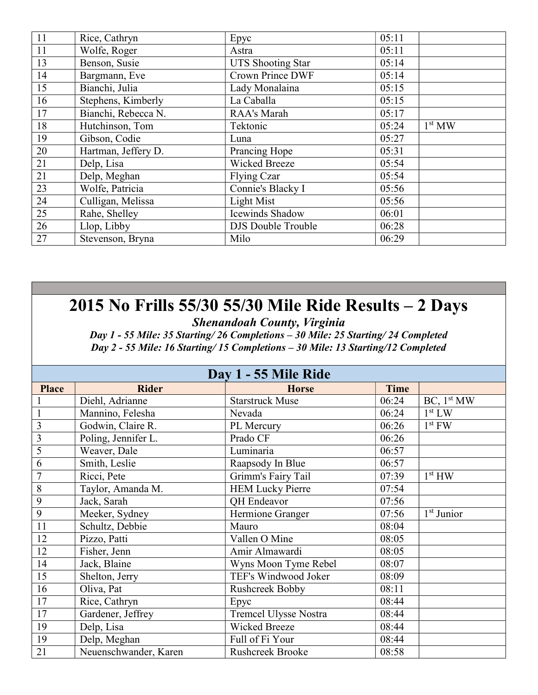| 11              | Rice, Cathryn       | Epyc                      | 05:11 |                    |
|-----------------|---------------------|---------------------------|-------|--------------------|
| 11              | Wolfe, Roger        | Astra                     | 05:11 |                    |
| 13              | Benson, Susie       | <b>UTS Shooting Star</b>  | 05:14 |                    |
| 14              | Bargmann, Eve       | <b>Crown Prince DWF</b>   | 05:14 |                    |
| 15              | Bianchi, Julia      | Lady Monalaina            | 05:15 |                    |
| 16              | Stephens, Kimberly  | La Caballa                | 05:15 |                    |
| 17              | Bianchi, Rebecca N. | RAA's Marah               | 05:17 |                    |
| 18              | Hutchinson, Tom     | Tektonic                  | 05:24 | 1 <sup>st</sup> MW |
| 19              | Gibson, Codie       | Luna                      | 05:27 |                    |
| 20              | Hartman, Jeffery D. | Prancing Hope             | 05:31 |                    |
| 21              | Delp, Lisa          | Wicked Breeze             | 05:54 |                    |
| 21              | Delp, Meghan        | Flying Czar               | 05:54 |                    |
| 23              | Wolfe, Patricia     | Connie's Blacky I         | 05:56 |                    |
| $24\,$          | Culligan, Melissa   | Light Mist                | 05:56 |                    |
| $\overline{25}$ | Rahe, Shelley       | Icewinds Shadow           | 06:01 |                    |
| 26              | Llop, Libby         | <b>DJS</b> Double Trouble | 06:28 |                    |
| 27              | Stevenson, Bryna    | Milo                      | 06:29 |                    |

Shenandoah County, Virginia

Day 1 - 55 Mile: 35 Starting/ 26 Completions – 30 Mile: 25 Starting/ 24 Completed Day 2 - 55 Mile: 16 Starting/ 15 Completions – 30 Mile: 13 Starting/12 Completed

| Day 1 - 55 Mile Ride    |                       |                              |             |                        |
|-------------------------|-----------------------|------------------------------|-------------|------------------------|
| <b>Place</b>            | <b>Rider</b>          | <b>Horse</b>                 | <b>Time</b> |                        |
|                         | Diehl, Adrianne       | <b>Starstruck Muse</b>       | 06:24       | BC, 1 <sup>st</sup> MW |
|                         | Mannino, Felesha      | Nevada                       | 06:24       | 1 <sup>st</sup> LW     |
| $\mathfrak{Z}$          | Godwin, Claire R.     | PL Mercury                   | 06:26       | $1st$ FW               |
| $\overline{\mathbf{3}}$ | Poling, Jennifer L.   | Prado CF                     | 06:26       |                        |
| 5                       | Weaver, Dale          | Luminaria                    | 06:57       |                        |
| 6                       | Smith, Leslie         | Raapsody In Blue             | 06:57       |                        |
| $\overline{7}$          | Ricci, Pete           | Grimm's Fairy Tail           | 07:39       | 1 <sup>st</sup> HW     |
| $8\,$                   | Taylor, Amanda M.     | <b>HEM Lucky Pierre</b>      | 07:54       |                        |
| 9                       | Jack, Sarah           | QH Endeavor                  | 07:56       |                        |
| 9                       | Meeker, Sydney        | Hermione Granger             | 07:56       | $1st$ Junior           |
| 11                      | Schultz, Debbie       | Mauro                        | 08:04       |                        |
| 12                      | Pizzo, Patti          | Vallen O Mine                | 08:05       |                        |
| 12                      | Fisher, Jenn          | Amir Almawardi               | 08:05       |                        |
| 14                      | Jack, Blaine          | Wyns Moon Tyme Rebel         | 08:07       |                        |
| 15                      | Shelton, Jerry        | TEF's Windwood Joker         | 08:09       |                        |
| 16                      | Oliva, Pat            | Rushcreek Bobby              | 08:11       |                        |
| 17                      | Rice, Cathryn         | Epyc                         | 08:44       |                        |
| 17                      | Gardener, Jeffrey     | <b>Tremcel Ulysse Nostra</b> | 08:44       |                        |
| 19                      | Delp, Lisa            | Wicked Breeze                | 08:44       |                        |
| 19                      | Delp, Meghan          | Full of Fi Your              | 08:44       |                        |
| 21                      | Neuenschwander, Karen | <b>Rushcreek Brooke</b>      | 08:58       |                        |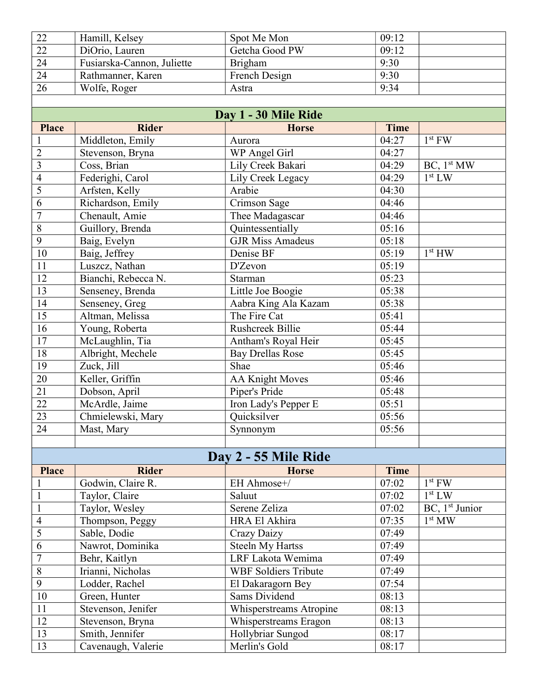| 22 | Hamill, Kelsey             | Spot Me Mon    | 09:12 |
|----|----------------------------|----------------|-------|
| 22 | DiOrio, Lauren             | Getcha Good PW | 09:12 |
| 24 | Fusiarska-Cannon, Juliette | Brigham        | 9:30  |
| 24 | Rathmanner, Karen          | French Design  | 9:30  |
| 26 | Wolfe, Roger               | Astra          | 9:34  |

|                         |                     | Day 1 - 30 Mile Ride        |             |                                      |
|-------------------------|---------------------|-----------------------------|-------------|--------------------------------------|
| <b>Place</b>            | <b>Rider</b>        | <b>Horse</b>                | <b>Time</b> |                                      |
|                         | Middleton, Emily    | Aurora                      | 04:27       | $1st$ FW                             |
| $\overline{2}$          | Stevenson, Bryna    | WP Angel Girl               | 04:27       |                                      |
| $\overline{\mathbf{3}}$ | Coss, Brian         | Lily Creek Bakari           | 04:29       | $\overline{BC}$ , 1 <sup>st</sup> MW |
| $\overline{4}$          | Federighi, Carol    | Lily Creek Legacy           | 04:29       | 1 <sup>st</sup> LW                   |
| 5                       | Arfsten, Kelly      | Arabie                      | 04:30       |                                      |
| $\overline{6}$          | Richardson, Emily   | Crimson Sage                | 04:46       |                                      |
| $\overline{7}$          | Chenault, Amie      | Thee Madagascar             | 04:46       |                                      |
| $\sqrt{8}$              | Guillory, Brenda    | Quintessentially            | 05:16       |                                      |
| $\overline{9}$          | Baig, Evelyn        | <b>GJR Miss Amadeus</b>     | 05:18       |                                      |
| $10\,$                  | Baig, Jeffrey       | Denise BF                   | 05:19       | 1 <sup>st</sup> HW                   |
| 11                      | Luszcz, Nathan      | D'Zevon                     | 05:19       |                                      |
| 12                      | Bianchi, Rebecca N. | Starman                     | 05:23       |                                      |
| 13                      | Senseney, Brenda    | Little Joe Boogie           | 05:38       |                                      |
| 14                      | Senseney, Greg      | Aabra King Ala Kazam        | 05:38       |                                      |
| $\overline{15}$         | Altman, Melissa     | The Fire Cat                | 05:41       |                                      |
| $\overline{16}$         | Young, Roberta      | <b>Rushcreek Billie</b>     | 05:44       |                                      |
| $\overline{17}$         | McLaughlin, Tia     | Antham's Royal Heir         | 05:45       |                                      |
| 18                      | Albright, Mechele   | <b>Bay Drellas Rose</b>     | 05:45       |                                      |
| 19                      | Zuck, Jill          | Shae                        | 05:46       |                                      |
| 20                      | Keller, Griffin     | <b>AA Knight Moves</b>      | 05:46       |                                      |
| $\overline{21}$         | Dobson, April       | Piper's Pride               | 05:48       |                                      |
| $\overline{22}$         | McArdle, Jaime      | Iron Lady's Pepper E        | 05:51       |                                      |
| $\overline{23}$         | Chmielewski, Mary   | Quicksilver                 | 05:56       |                                      |
| 24                      | Mast, Mary          | Synnonym                    | 05:56       |                                      |
|                         |                     |                             |             |                                      |
|                         |                     | Day 2 - 55 Mile Ride        |             |                                      |
| <b>Place</b>            | <b>Rider</b>        | <b>Horse</b>                | <b>Time</b> |                                      |
| $\mathbf{1}$            | Godwin, Claire R.   | EH Ahmose+/                 | 07:02       | $1st$ FW                             |
| $\overline{1}$          | Taylor, Claire      | Saluut                      | 07:02       | 1 <sup>st</sup> LW                   |
| $\mathbf{1}$            | Taylor, Wesley      | Serene Zeliza               | 07:02       | $BC$ , 1 <sup>st</sup> Junior        |
| $\overline{4}$          | Thompson, Peggy     | HRA El Akhira               | 07:35       | 1 <sup>st</sup> MW                   |
| $\overline{5}$          | Sable, Dodie        | <b>Crazy Daizy</b>          | 07:49       |                                      |
| $\overline{6}$          | Nawrot, Dominika    | <b>Steeln My Hartss</b>     | 07:49       |                                      |
| $\overline{7}$          | Behr, Kaitlyn       | LRF Lakota Wemima           | 07:49       |                                      |
| $\sqrt{8}$              | Irianni, Nicholas   | <b>WBF Soldiers Tribute</b> | 07:49       |                                      |
| $\overline{9}$          | Lodder, Rachel      | El Dakaragorn Bey           | 07:54       |                                      |
| $10\,$                  | Green, Hunter       | Sams Dividend               | 08:13       |                                      |
| 11                      | Stevenson, Jenifer  | Whisperstreams Atropine     | 08:13       |                                      |
| 12                      | Stevenson, Bryna    | Whisperstreams Eragon       | 08:13       |                                      |
| 13                      | Smith, Jennifer     | Hollybriar Sungod           | 08:17       |                                      |
| 13                      | Cavenaugh, Valerie  | Merlin's Gold               | 08:17       |                                      |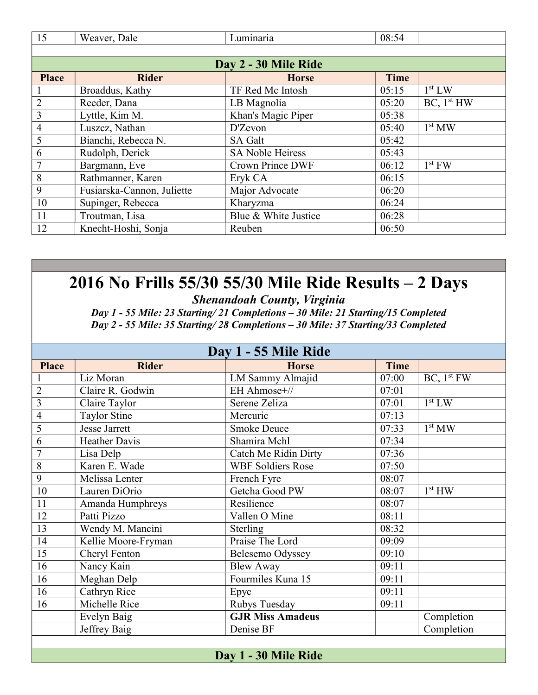| 15             | Weaver, Dale               | Luminaria               | 08:54       |                        |
|----------------|----------------------------|-------------------------|-------------|------------------------|
|                |                            |                         |             |                        |
|                |                            | Day 2 - 30 Mile Ride    |             |                        |
| <b>Place</b>   | <b>Rider</b>               | <b>Horse</b>            | <b>Time</b> |                        |
|                | Broaddus, Kathy            | TF Red Mc Intosh        | 05:15       | 1 <sup>st</sup> LW     |
| $\overline{2}$ | Reeder, Dana               | LB Magnolia             | 05:20       | BC, 1 <sup>st</sup> HW |
| 3              | Lyttle, Kim M.             | Khan's Magic Piper      | 05:38       |                        |
| 4              | Luszcz, Nathan             | D'Zevon                 | 05:40       | 1 <sup>st</sup> MW     |
| 5              | Bianchi, Rebecca N.        | SA Galt                 | 05:42       |                        |
| 6              | Rudolph, Derick            | <b>SA Noble Heiress</b> | 05:43       |                        |
|                | Bargmann, Eve              | <b>Crown Prince DWF</b> | 06:12       | $1st$ FW               |
| 8              | Rathmanner, Karen          | Eryk CA                 | 06:15       |                        |
| 9              | Fusiarska-Cannon, Juliette | Major Advocate          | 06:20       |                        |
| 10             | Supinger, Rebecca          | Kharyzma                | 06:24       |                        |
| 11             | Troutman, Lisa             | Blue & White Justice    | 06:28       |                        |
| 12             | Knecht-Hoshi, Sonja        | Reuben                  | 06:50       |                        |

Shenandoah County, Virginia

Day 1 - 55 Mile: 23 Starting/ 21 Completions – 30 Mile: 21 Starting/15 Completed Day 2 - 55 Mile: 35 Starting/ 28 Completions – 30 Mile: 37 Starting/33 Completed

|                 |                      | Day 1 - 55 Mile Ride        |             |                        |
|-----------------|----------------------|-----------------------------|-------------|------------------------|
| <b>Place</b>    | <b>Rider</b>         | <b>Horse</b>                | <b>Time</b> |                        |
|                 | Liz Moran            | LM Sammy Almajid            | 07:00       | BC, 1 <sup>st</sup> FW |
| $\overline{2}$  | Claire R. Godwin     | EH Ahmose+//                | 07:01       |                        |
| $\overline{3}$  | Claire Taylor        | Serene Zeliza               | 07:01       | 1 <sup>st</sup> LW     |
| $\overline{4}$  | <b>Taylor Stine</b>  | Mercuric                    | 07:13       |                        |
| 5               | <b>Jesse Jarrett</b> | <b>Smoke Deuce</b>          | 07:33       | 1 <sup>st</sup> MW     |
| $\overline{6}$  | <b>Heather Davis</b> | Shamira Mchl                | 07:34       |                        |
| $\overline{7}$  | Lisa Delp            | <b>Catch Me Ridin Dirty</b> | 07:36       |                        |
| 8               | Karen E. Wade        | <b>WBF Soldiers Rose</b>    | 07:50       |                        |
| $\mathbf{9}$    | Melissa Lenter       | French Fyre                 | 08:07       |                        |
| 10              | Lauren DiOrio        | Getcha Good PW              | 08:07       | 1 <sup>st</sup> HW     |
| 11              | Amanda Humphreys     | Resilience                  | 08:07       |                        |
| 12              | Patti Pizzo          | Vallen O Mine               | 08:11       |                        |
| 13              | Wendy M. Mancini     | Sterling                    | 08:32       |                        |
| 14              | Kellie Moore-Fryman  | Praise The Lord             | 09:09       |                        |
| 15              | Cheryl Fenton        | Belesemo Odyssey            | 09:10       |                        |
| 16              | Nancy Kain           | <b>Blew Away</b>            | 09:11       |                        |
| 16              | Meghan Delp          | Fourmiles Kuna 15           | 09:11       |                        |
| $\overline{16}$ | Cathryn Rice         | Epyc                        | 09:11       |                        |
| 16              | Michelle Rice        | Rubys Tuesday               | 09:11       |                        |
|                 | Evelyn Baig          | <b>GJR Miss Amadeus</b>     |             | Completion             |
|                 | Jeffrey Baig         | Denise BF                   |             | Completion             |
|                 |                      |                             |             |                        |
|                 |                      | Day 1 - 30 Mile Ride        |             |                        |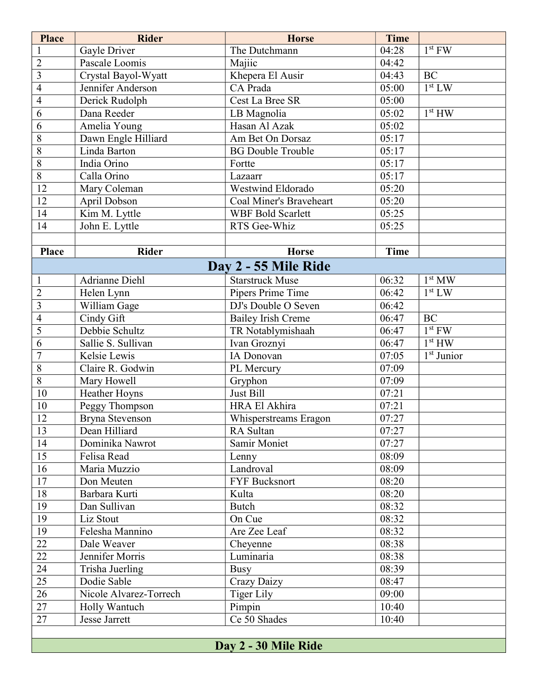| <b>Place</b>            | <b>Rider</b>           | <b>Horse</b>              | <b>Time</b> |                        |
|-------------------------|------------------------|---------------------------|-------------|------------------------|
| $\mathbf{1}$            | Gayle Driver           | The Dutchmann             | 04:28       | $1st$ FW               |
| $\overline{2}$          | Pascale Loomis         | Majiic                    | 04:42       |                        |
| $\overline{\mathbf{3}}$ | Crystal Bayol-Wyatt    | Khepera El Ausir          | 04:43       | BC                     |
| 4                       | Jennifer Anderson      | CA Prada                  | 05:00       | 1 <sup>st</sup> LW     |
| 4                       | Derick Rudolph         | Cest La Bree SR           | 05:00       |                        |
| 6                       | Dana Reeder            | LB Magnolia               | 05:02       | 1 <sup>st</sup> HW     |
| 6                       | Amelia Young           | Hasan Al Azak             | 05:02       |                        |
| $\overline{8}$          | Dawn Engle Hilliard    | Am Bet On Dorsaz          | 05:17       |                        |
| 8                       | Linda Barton           | <b>BG Double Trouble</b>  | 05:17       |                        |
| 8                       | India Orino            | Fortte                    | 05:17       |                        |
| 8                       | Calla Orino            | Lazaarr                   | 05:17       |                        |
| 12                      | Mary Coleman           | Westwind Eldorado         | 05:20       |                        |
| 12                      | April Dobson           | Coal Miner's Braveheart   | 05:20       |                        |
| 14                      | Kim M. Lyttle          | <b>WBF Bold Scarlett</b>  | 05:25       |                        |
| 14                      | John E. Lyttle         | RTS Gee-Whiz              | 05:25       |                        |
|                         |                        |                           |             |                        |
| Place                   | <b>Rider</b>           | <b>Horse</b>              | <b>Time</b> |                        |
|                         |                        | Day 2 - 55 Mile Ride      |             |                        |
| $\mathbf{1}$            | <b>Adrianne Diehl</b>  | <b>Starstruck Muse</b>    | 06:32       | 1 <sup>st</sup> MW     |
| $\overline{2}$          | Helen Lynn             | Pipers Prime Time         | 06:42       | $1st$ LW               |
| $\overline{3}$          | William Gage           | DJ's Double O Seven       | 06:42       |                        |
| 4                       | Cindy Gift             | <b>Bailey Irish Creme</b> | 06:47       | <b>BC</b>              |
| 5                       | Debbie Schultz         | TR Notablymishaah         | 06:47       | $1st$ FW               |
| 6                       | Sallie S. Sullivan     | Ivan Groznyi              | 06:47       | 1 <sup>st</sup> HW     |
| $\overline{7}$          | Kelsie Lewis           | IA Donovan                | 07:05       | 1 <sup>st</sup> Junior |
| 8                       | Claire R. Godwin       | PL Mercury                | 07:09       |                        |
| $\overline{8}$          | Mary Howell            | Gryphon                   | 07:09       |                        |
| 10                      | Heather Hoyns          | Just Bill                 | 07:21       |                        |
| 10                      | Peggy Thompson         | HRA El Akhira             | 07:21       |                        |
| 12                      | Bryna Stevenson        | Whisperstreams Eragon     | 07:27       |                        |
| 13                      | Dean Hilliard          | RA Sultan                 | 07:27       |                        |
| 14                      | Dominika Nawrot        | Samir Moniet              | 07:27       |                        |
| $\overline{15}$         | Felisa Read            | Lenny                     | 08:09       |                        |
| 16                      | Maria Muzzio           | Landroval                 | 08:09       |                        |
| 17                      | Don Meuten             | <b>FYF Bucksnort</b>      | 08:20       |                        |
| 18                      | Barbara Kurti          | Kulta                     | 08:20       |                        |
| 19                      | Dan Sullivan           | <b>Butch</b>              | 08:32       |                        |
| $\overline{19}$         | Liz Stout              | On Cue                    | 08:32       |                        |
| 19                      | Felesha Mannino        | Are Zee Leaf              | 08:32       |                        |
| 22                      | Dale Weaver            | Cheyenne                  | 08:38       |                        |
| 22                      | Jennifer Morris        | Luminaria                 | 08:38       |                        |
| 24                      | Trisha Juerling        | <b>Busy</b>               | 08:39       |                        |
| $\overline{25}$         | Dodie Sable            | Crazy Daizy               | 08:47       |                        |
| 26                      | Nicole Alvarez-Torrech | <b>Tiger Lily</b>         | 09:00       |                        |
| 27                      | Holly Wantuch          | Pimpin                    | 10:40       |                        |
| $\overline{27}$         | Jesse Jarrett          | Ce 50 Shades              | 10:40       |                        |
|                         |                        |                           |             |                        |
|                         |                        | Day 2 - 30 Mile Ride      |             |                        |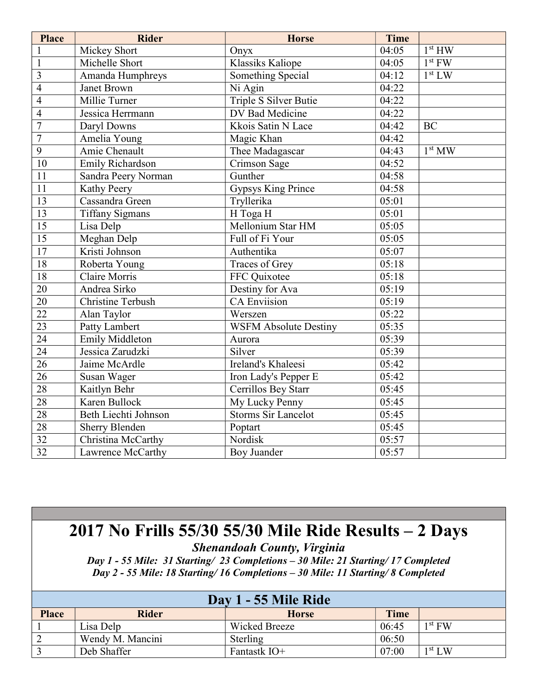| <b>Place</b>    | <b>Rider</b>             | <b>Horse</b>                 | Time  |                    |
|-----------------|--------------------------|------------------------------|-------|--------------------|
| $\mathbf{1}$    | Mickey Short             | Onyx                         | 04:05 | 1 <sup>st</sup> HW |
| $\mathbf{1}$    | Michelle Short           | <b>Klassiks Kaliope</b>      | 04:05 | $1st$ FW           |
| $\overline{3}$  | Amanda Humphreys         | Something Special            | 04:12 | 1 <sup>st</sup> LW |
| $\overline{4}$  | Janet Brown              | Ni Agin                      | 04:22 |                    |
| $\overline{4}$  | Millie Turner            | Triple S Silver Butie        | 04:22 |                    |
| $\overline{4}$  | Jessica Herrmann         | DV Bad Medicine              | 04:22 |                    |
| $\overline{7}$  | Daryl Downs              | Kkois Satin N Lace           | 04:42 | <b>BC</b>          |
| $\overline{7}$  | Amelia Young             | Magic Khan                   | 04:42 |                    |
| $\overline{9}$  | Amie Chenault            | Thee Madagascar              | 04:43 | 1 <sup>st</sup> MW |
| 10              | Emily Richardson         | Crimson Sage                 | 04:52 |                    |
| $\overline{11}$ | Sandra Peery Norman      | Gunther                      | 04:58 |                    |
| 11              | Kathy Peery              | <b>Gypsys King Prince</b>    | 04:58 |                    |
| $\overline{13}$ | Cassandra Green          | Tryllerika                   | 05:01 |                    |
| $\overline{13}$ | <b>Tiffany Sigmans</b>   | H Toga H                     | 05:01 |                    |
| $\overline{15}$ | Lisa Delp                | Mellonium Star HM            | 05:05 |                    |
| $\overline{15}$ | Meghan Delp              | Full of Fi Your              | 05:05 |                    |
| $\overline{17}$ | Kristi Johnson           | Authentika                   | 05:07 |                    |
| 18              | Roberta Young            | Traces of Grey               | 05:18 |                    |
| 18              | Claire Morris            | FFC Quixotee                 | 05:18 |                    |
| 20              | Andrea Sirko             | Destiny for Ava              | 05:19 |                    |
| $\overline{20}$ | <b>Christine Terbush</b> | <b>CA Enviision</b>          | 05:19 |                    |
| $\overline{22}$ | Alan Taylor              | Werszen                      | 05:22 |                    |
| 23              | Patty Lambert            | <b>WSFM Absolute Destiny</b> | 05:35 |                    |
| $\overline{24}$ | <b>Emily Middleton</b>   | Aurora                       | 05:39 |                    |
| $\overline{24}$ | Jessica Zarudzki         | Silver                       | 05:39 |                    |
| $\overline{26}$ | Jaime McArdle            | Ireland's Khaleesi           | 05:42 |                    |
| $\overline{26}$ | Susan Wager              | Iron Lady's Pepper E         | 05:42 |                    |
| $\overline{28}$ | Kaitlyn Behr             | Cerrillos Bey Starr          | 05:45 |                    |
| 28              | Karen Bullock            | My Lucky Penny               | 05:45 |                    |
| 28              | Beth Liechti Johnson     | <b>Storms Sir Lancelot</b>   | 05:45 |                    |
| 28              | <b>Sherry Blenden</b>    | Poptart                      | 05:45 |                    |
| 32              | Christina McCarthy       | Nordisk                      | 05:57 |                    |
| 32              | Lawrence McCarthy        | Boy Juander                  | 05:57 |                    |

Shenandoah County, Virginia

Day 1 - 55 Mile: 31 Starting/ 23 Completions – 30 Mile: 21 Starting/ 17 Completed Day 2 - 55 Mile: 18 Starting/ 16 Completions – 30 Mile: 11 Starting/ 8 Completed

|              |                  | Day 1 - 55 Mile Ride |       |                    |
|--------------|------------------|----------------------|-------|--------------------|
| <b>Place</b> | <b>Rider</b>     | <b>Horse</b>         | Time  |                    |
|              | Lisa Delp        | Wicked Breeze        | 06:45 | $1st$ FW           |
|              | Wendy M. Mancini | Sterling             | 06:50 |                    |
|              | Deb Shaffer      | Fantastk IO+         | 07:00 | 1 <sup>st</sup> LW |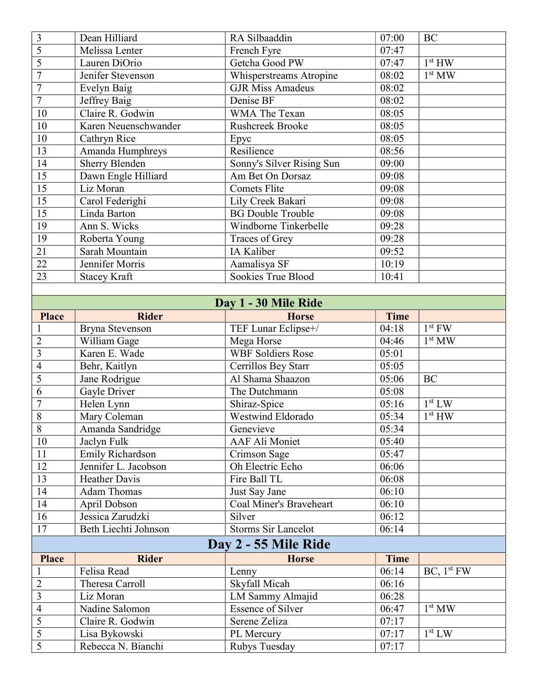| 3               | Dean Hilliard           | RA Silbaaddin                  | 07:00       | <b>BC</b>              |
|-----------------|-------------------------|--------------------------------|-------------|------------------------|
| $\overline{5}$  | Melissa Lenter          | French Fyre                    | 07:47       |                        |
| $\overline{5}$  | Lauren DiOrio           | Getcha Good PW                 | 07:47       | 1 <sup>st</sup> HW     |
| $\overline{7}$  | Jenifer Stevenson       | Whisperstreams Atropine        | 08:02       | 1 <sup>st</sup> MW     |
| $\overline{7}$  | Evelyn Baig             | <b>GJR</b> Miss Amadeus        | 08:02       |                        |
| $\overline{7}$  | Jeffrey Baig            | Denise BF                      | 08:02       |                        |
| 10              | Claire R. Godwin        | WMA The Texan                  | 08:05       |                        |
| 10              | Karen Neuenschwander    | <b>Rushcreek Brooke</b>        | 08:05       |                        |
| 10              | Cathryn Rice            | Epyc                           | 08:05       |                        |
| 13              | Amanda Humphreys        | Resilience                     | 08:56       |                        |
| 14              | <b>Sherry Blenden</b>   | Sonny's Silver Rising Sun      | 09:00       |                        |
| 15              | Dawn Engle Hilliard     | Am Bet On Dorsaz               | 09:08       |                        |
| $\overline{15}$ | Liz Moran               | <b>Comets Flite</b>            | 09:08       |                        |
| $\overline{15}$ | Carol Federighi         | Lily Creek Bakari              | 09:08       |                        |
| $\overline{15}$ | Linda Barton            | <b>BG Double Trouble</b>       | 09:08       |                        |
| 19              | Ann S. Wicks            | Windborne Tinkerbelle          | 09:28       |                        |
| 19              | Roberta Young           | Traces of Grey                 | 09:28       |                        |
| $\overline{21}$ | Sarah Mountain          | IA Kaliber                     | 09:52       |                        |
| $\overline{22}$ | Jennifer Morris         | Aamalisya SF                   | 10:19       |                        |
| 23              | <b>Stacey Kraft</b>     | Sookies True Blood             | 10:41       |                        |
|                 |                         |                                |             |                        |
|                 |                         | Day 1 - 30 Mile Ride           |             |                        |
| <b>Place</b>    | <b>Rider</b>            | <b>Horse</b>                   | <b>Time</b> |                        |
| $\mathbf{1}$    | Bryna Stevenson         | TEF Lunar Eclipse+/            | 04:18       | $1st$ FW               |
| $\overline{2}$  | William Gage            | Mega Horse                     | 04:46       | 1 <sup>st</sup> MW     |
| $\overline{3}$  | Karen E. Wade           | <b>WBF</b> Soldiers Rose       | 05:01       |                        |
| $\overline{4}$  | Behr, Kaitlyn           | Cerrillos Bey Starr            | 05:05       |                        |
| 5               | Jane Rodrigue           | Al Shama Shaazon               | 05:06       | <b>BC</b>              |
| 6               | Gayle Driver            | The Dutchmann                  | 05:08       |                        |
| $\overline{7}$  | Helen Lynn              | Shiraz-Spice                   | 05:16       | 1 <sup>st</sup> LW     |
| $\overline{8}$  | Mary Coleman            | <b>Westwind Eldorado</b>       | 05:34       | $1st$ HW               |
| $\sqrt{8}$      | Amanda Sandridge        | Genevieve                      | 05:34       |                        |
| 10              | Jaclyn Fulk             | AAF Ali Moniet                 | 05:40       |                        |
| 11              | <b>Emily Richardson</b> | Crimson Sage                   | 05:47       |                        |
| 12              | Jennifer L. Jacobson    | Oh Electric Echo               | 06:06       |                        |
| $\overline{13}$ | <b>Heather Davis</b>    | Fire Ball TL                   | 06:08       |                        |
| 14              | <b>Adam Thomas</b>      | Just Say Jane                  | 06:10       |                        |
| 14              | April Dobson            | <b>Coal Miner's Braveheart</b> | 06:10       |                        |
| 16              | Jessica Zarudzki        | Silver                         | 06:12       |                        |
| 17              | Beth Liechti Johnson    | <b>Storms Sir Lancelot</b>     | 06:14       |                        |
|                 |                         | Day 2 - 55 Mile Ride           |             |                        |
| <b>Place</b>    | <b>Rider</b>            | <b>Horse</b>                   | <b>Time</b> |                        |
| $\mathbf{1}$    | Felisa Read             | Lenny                          | 06:14       | BC, 1 <sup>st</sup> FW |
| $\overline{2}$  | Theresa Carroll         | Skyfall Micah                  | 06:16       |                        |
| $\overline{3}$  | Liz Moran               | LM Sammy Almajid               | 06:28       |                        |
| $\overline{4}$  | Nadine Salomon          | <b>Essence of Silver</b>       | 06:47       | 1 <sup>st</sup> MW     |
| $\overline{5}$  | Claire R. Godwin        | Serene Zeliza                  | 07:17       |                        |
| $\overline{5}$  | Lisa Bykowski           | PL Mercury                     | 07:17       | 1 <sup>st</sup> LW     |
|                 |                         |                                |             |                        |